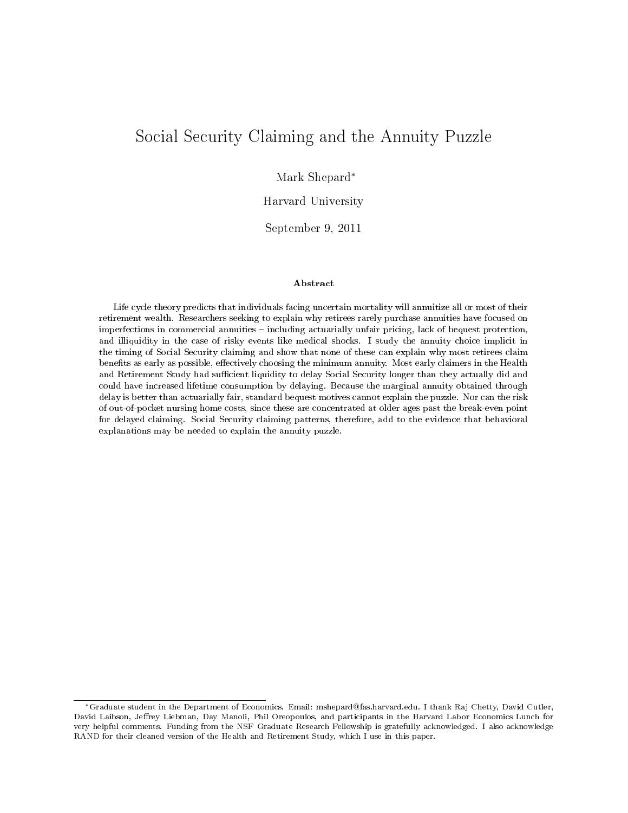# Social Security Claiming and the Annuity Puzzle

Mark Shepard<sup>∗</sup>

Harvard University

September 9, 2011

#### Abstract

Life cycle theory predicts that individuals facing uncertain mortality will annuitize all or most of their retirement wealth. Researchers seeking to explain why retirees rarely purchase annuities have focused on imperfections in commercial annuities - including actuarially unfair pricing, lack of bequest protection, and illiquidity in the case of risky events like medical shocks. I study the annuity choice implicit in the timing of Social Security claiming and show that none of these can explain why most retirees claim benefits as early as possible, effectively choosing the minimum annuity. Most early claimers in the Health and Retirement Study had sufficient liquidity to delay Social Security longer than they actually did and could have increased lifetime consumption by delaying. Because the marginal annuity obtained through delay is better than actuarially fair, standard bequest motives cannot explain the puzzle. Nor can the risk of out-of-pocket nursing home costs, since these are concentrated at older ages past the break-even point for delayed claiming. Social Security claiming patterns, therefore, add to the evidence that behavioral explanations may be needed to explain the annuity puzzle.

<sup>∗</sup>Graduate student in the Department of Economics. Email: mshepard@fas.harvard.edu. I thank Raj Chetty, David Cutler, David Laibson, Jeffrey Liebman, Day Manoli, Phil Oreopoulos, and participants in the Harvard Labor Economics Lunch for very helpful comments. Funding from the NSF Graduate Research Fellowship is gratefully acknowledged. I also acknowledge RAND for their cleaned version of the Health and Retirement Study, which I use in this paper.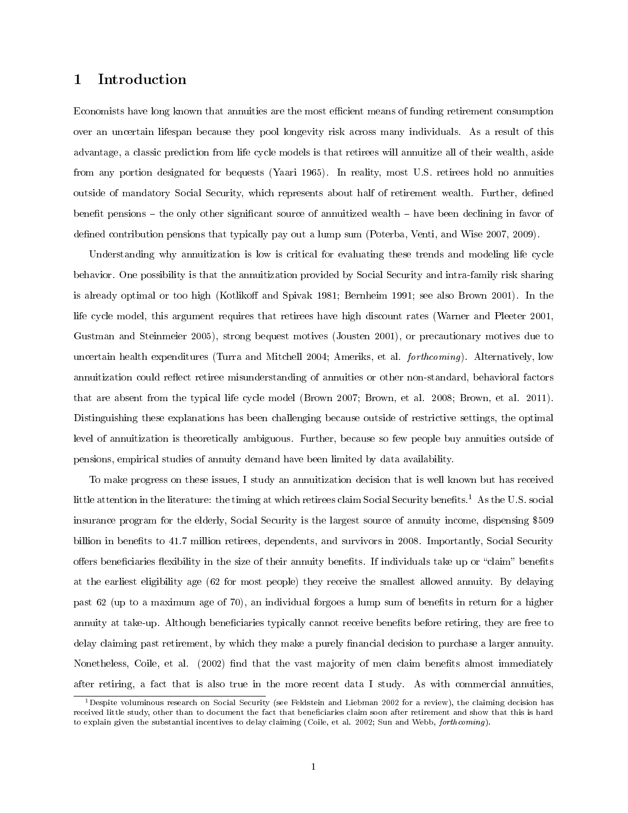#### 1 Introduction

Economists have long known that annuities are the most efficient means of funding retirement consumption over an uncertain lifespan because they pool longevity risk across many individuals. As a result of this advantage, a classic prediction from life cycle models is that retirees will annuitize all of their wealth, aside from any portion designated for bequests (Yaari 1965). In reality, most U.S. retirees hold no annuities outside of mandatory Social Security, which represents about half of retirement wealth. Further, defined benefit pensions  $-$  the only other significant source of annuitized wealth  $-$  have been declining in favor of defined contribution pensions that typically pay out a lump sum (Poterba, Venti, and Wise 2007, 2009).

Understanding why annuitization is low is critical for evaluating these trends and modeling life cycle behavior. One possibility is that the annuitization provided by Social Security and intra-family risk sharing is already optimal or too high (Kotlikoff and Spivak 1981; Bernheim 1991; see also Brown 2001). In the life cycle model, this argument requires that retirees have high discount rates (Warner and Pleeter 2001, Gustman and Steinmeier 2005), strong bequest motives (Jousten 2001), or precautionary motives due to uncertain health expenditures (Turra and Mitchell 2004; Ameriks, et al. forthcoming). Alternatively, low annuitization could reflect retiree misunderstanding of annuities or other non-standard, behavioral factors that are absent from the typical life cycle model (Brown 2007; Brown, et al. 2008; Brown, et al. 2011). Distinguishing these explanations has been challenging because outside of restrictive settings, the optimal level of annuitization is theoretically ambiguous. Further, because so few people buy annuities outside of pensions, empirical studies of annuity demand have been limited by data availability.

To make progress on these issues, I study an annuitization decision that is well known but has received little attention in the literature: the timing at which retirees claim Social Security benefits.<sup>1</sup> As the U.S. social insurance program for the elderly, Social Security is the largest source of annuity income, dispensing \$509 billion in benefits to 41.7 million retirees, dependents, and survivors in 2008. Importantly, Social Security offers beneficiaries flexibility in the size of their annuity benefits. If individuals take up or "claim" benefits at the earliest eligibility age (62 for most people) they receive the smallest allowed annuity. By delaying past 62 (up to a maximum age of 70), an individual forgoes a lump sum of benets in return for a higher annuity at take-up. Although beneficiaries typically cannot receive benefits before retiring, they are free to delay claiming past retirement, by which they make a purely financial decision to purchase a larger annuity. Nonetheless, Coile, et al. (2002) find that the vast majority of men claim benefits almost immediately after retiring, a fact that is also true in the more recent data I study. As with commercial annuities,

<sup>&</sup>lt;sup>1</sup>Despite voluminous research on Social Security (see Feldstein and Liebman 2002 for a review), the claiming decision has received little study, other than to document the fact that beneficiaries claim soon after retirement and show that this is hard to explain given the substantial incentives to delay claiming (Coile, et al. 2002; Sun and Webb, forthcoming).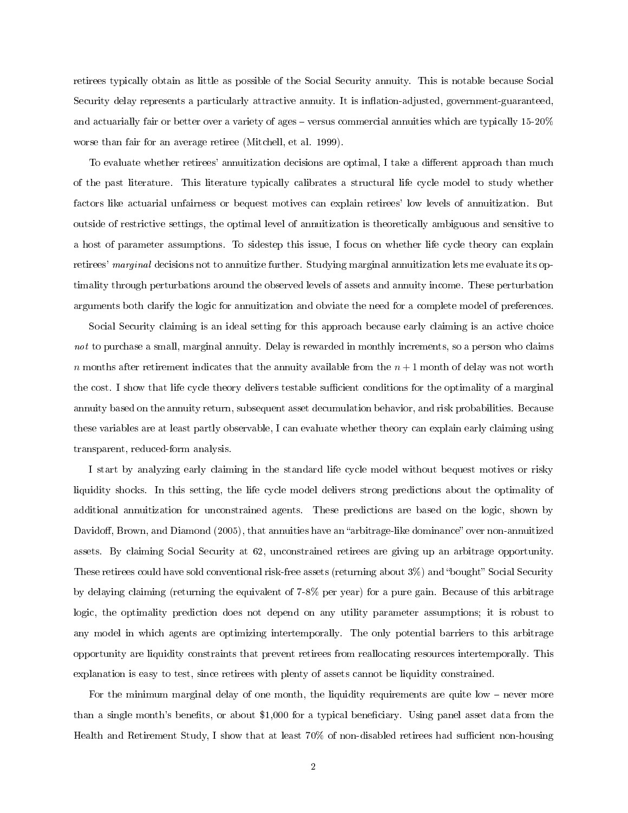retirees typically obtain as little as possible of the Social Security annuity. This is notable because Social Security delay represents a particularly attractive annuity. It is inflation-adjusted, government-guaranteed, and actuarially fair or better over a variety of ages  $-$  versus commercial annuities which are typically 15-20% worse than fair for an average retiree (Mitchell, et al. 1999).

To evaluate whether retirees' annuitization decisions are optimal, I take a different approach than much of the past literature. This literature typically calibrates a structural life cycle model to study whether factors like actuarial unfairness or bequest motives can explain retirees' low levels of annuitization. But outside of restrictive settings, the optimal level of annuitization is theoretically ambiguous and sensitive to a host of parameter assumptions. To sidestep this issue, I focus on whether life cycle theory can explain retirees' marginal decisions not to annuitize further. Studying marginal annuitization lets me evaluate its optimality through perturbations around the observed levels of assets and annuity income. These perturbation arguments both clarify the logic for annuitization and obviate the need for a complete model of preferences.

Social Security claiming is an ideal setting for this approach because early claiming is an active choice not to purchase a small, marginal annuity. Delay is rewarded in monthly increments, so a person who claims  $n$  months after retirement indicates that the annuity available from the  $n + 1$  month of delay was not worth the cost. I show that life cycle theory delivers testable sufficient conditions for the optimality of a marginal annuity based on the annuity return, subsequent asset decumulation behavior, and risk probabilities. Because these variables are at least partly observable, I can evaluate whether theory can explain early claiming using transparent, reduced-form analysis.

I start by analyzing early claiming in the standard life cycle model without bequest motives or risky liquidity shocks. In this setting, the life cycle model delivers strong predictions about the optimality of additional annuitization for unconstrained agents. These predictions are based on the logic, shown by Davidoff, Brown, and Diamond (2005), that annuities have an "arbitrage-like dominance" over non-annuitized assets. By claiming Social Security at 62, unconstrained retirees are giving up an arbitrage opportunity. These retirees could have sold conventional risk-free assets (returning about  $3\%$ ) and "bought" Social Security by delaying claiming (returning the equivalent of 7-8% per year) for a pure gain. Because of this arbitrage logic, the optimality prediction does not depend on any utility parameter assumptions; it is robust to any model in which agents are optimizing intertemporally. The only potential barriers to this arbitrage opportunity are liquidity constraints that prevent retirees from reallocating resources intertemporally. This explanation is easy to test, since retirees with plenty of assets cannot be liquidity constrained.

For the minimum marginal delay of one month, the liquidity requirements are quite low  $-$  never more than a single month's benefits, or about \$1,000 for a typical beneficiary. Using panel asset data from the Health and Retirement Study, I show that at least  $70\%$  of non-disabled retirees had sufficient non-housing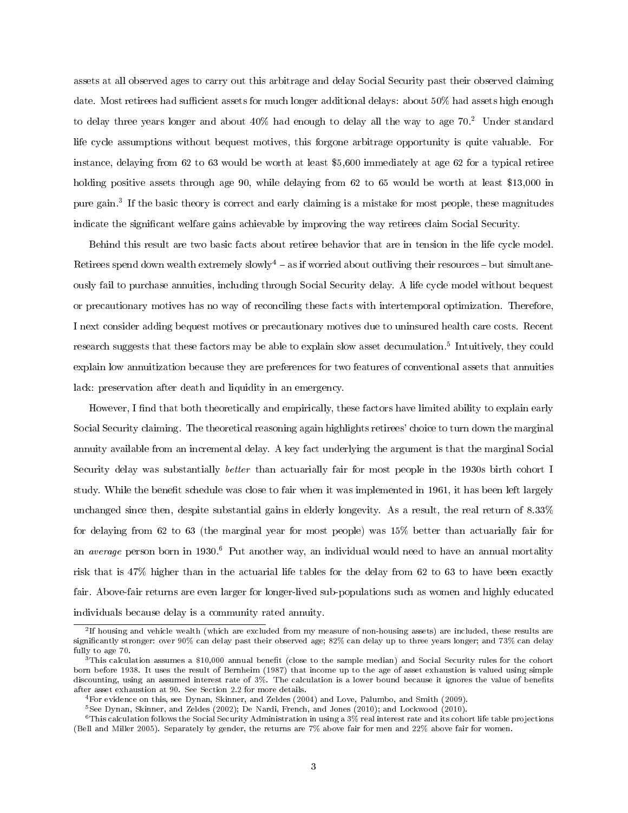assets at all observed ages to carry out this arbitrage and delay Social Security past their observed claiming date. Most retirees had sufficient assets for much longer additional delays: about 50% had assets high enough to delay three years longer and about  $40\%$  had enough to delay all the way to age 70.<sup>2</sup> Under standard life cycle assumptions without bequest motives, this forgone arbitrage opportunity is quite valuable. For instance, delaying from 62 to 63 would be worth at least \$5,600 immediately at age 62 for a typical retiree holding positive assets through age 90, while delaying from 62 to 65 would be worth at least \$13,000 in pure gain.<sup>3</sup> If the basic theory is correct and early claiming is a mistake for most people, these magnitudes indicate the significant welfare gains achievable by improving the way retirees claim Social Security.

Behind this result are two basic facts about retiree behavior that are in tension in the life cycle model. Retirees spend down wealth extremely  $slowly<sup>4</sup> - as$  if worried about outliving their resources – but simultaneously fail to purchase annuities, including through Social Security delay. A life cycle model without bequest or precautionary motives has no way of reconciling these facts with intertemporal optimization. Therefore, I next consider adding bequest motives or precautionary motives due to uninsured health care costs. Recent research suggests that these factors may be able to explain slow asset decumulation.<sup>5</sup> Intuitively, they could explain low annuitization because they are preferences for two features of conventional assets that annuities lack: preservation after death and liquidity in an emergency.

However, I find that both theoretically and empirically, these factors have limited ability to explain early Social Security claiming. The theoretical reasoning again highlights retirees' choice to turn down the marginal annuity available from an incremental delay. A key fact underlying the argument is that the marginal Social Security delay was substantially better than actuarially fair for most people in the 1930s birth cohort I study. While the benefit schedule was close to fair when it was implemented in 1961, it has been left largely unchanged since then, despite substantial gains in elderly longevity. As a result, the real return of 8.33% for delaying from 62 to 63 (the marginal year for most people) was 15% better than actuarially fair for an *average* person born in 1930.<sup>6</sup> Put another way, an individual would need to have an annual mortality risk that is 47% higher than in the actuarial life tables for the delay from 62 to 63 to have been exactly fair. Above-fair returns are even larger for longer-lived sub-populations such as women and highly educated individuals because delay is a community rated annuity.

<sup>2</sup> If housing and vehicle wealth (which are excluded from my measure of non-housing assets) are included, these results are signicantly stronger: over 90% can delay past their observed age; 82% can delay up to three years longer; and 73% can delay fully to age 70.

 $3$ This calculation assumes a \$10,000 annual benefit (close to the sample median) and Social Security rules for the cohort born before 1938. It uses the result of Bernheim (1987) that income up to the age of asset exhaustion is valued using simple discounting, using an assumed interest rate of 3%. The calculation is a lower bound because it ignores the value of benets after asset exhaustion at 90. See Section 2.2 for more details.

 $4$ For evidence on this, see Dynan, Skinner, and Zeldes (2004) and Love, Palumbo, and Smith (2009).

<sup>5</sup>See Dynan, Skinner, and Zeldes (2002); De Nardi, French, and Jones (2010); and Lockwood (2010).

 $6$ This calculation follows the Social Security Administration in using a  $3\%$  real interest rate and its cohort life table projections (Bell and Miller 2005). Separately by gender, the returns are 7% above fair for men and 22% above fair for women.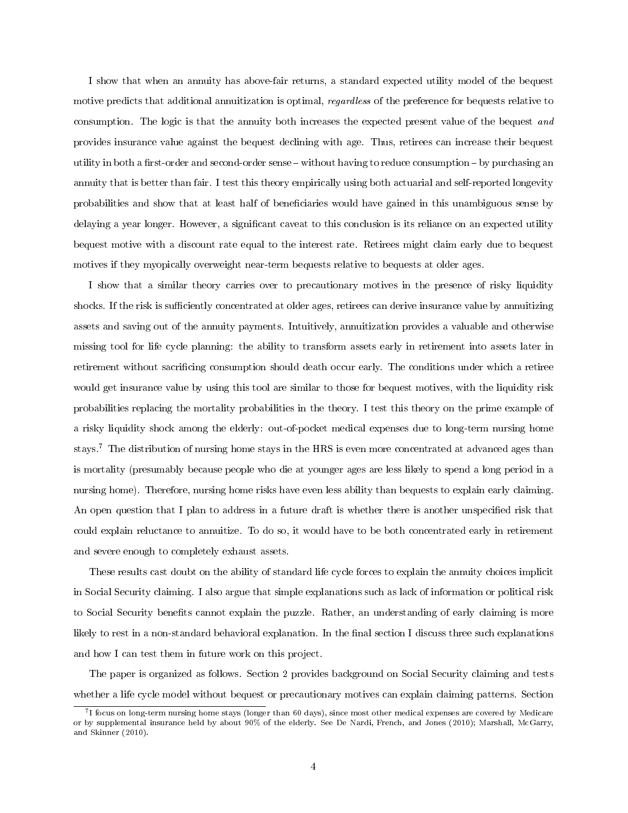I show that when an annuity has above-fair returns, a standard expected utility model of the bequest motive predicts that additional annuitization is optimal, *regardless* of the preference for bequests relative to consumption. The logic is that the annuity both increases the expected present value of the bequest and provides insurance value against the bequest declining with age. Thus, retirees can increase their bequest utility in both a first-order and second-order sense  $-$  without having to reduce consumption  $-$  by purchasing an annuity that is better than fair. I test this theory empirically using both actuarial and self-reported longevity probabilities and show that at least half of beneficiaries would have gained in this unambiguous sense by delaying a year longer. However, a significant caveat to this conclusion is its reliance on an expected utility bequest motive with a discount rate equal to the interest rate. Retirees might claim early due to bequest motives if they myopically overweight near-term bequests relative to bequests at older ages.

I show that a similar theory carries over to precautionary motives in the presence of risky liquidity shocks. If the risk is sufficiently concentrated at older ages, retirees can derive insurance value by annuitizing assets and saving out of the annuity payments. Intuitively, annuitization provides a valuable and otherwise missing tool for life cycle planning: the ability to transform assets early in retirement into assets later in retirement without sacrificing consumption should death occur early. The conditions under which a retiree would get insurance value by using this tool are similar to those for bequest motives, with the liquidity risk probabilities replacing the mortality probabilities in the theory. I test this theory on the prime example of a risky liquidity shock among the elderly: out-of-pocket medical expenses due to long-term nursing home stays.<sup>7</sup> The distribution of nursing home stays in the HRS is even more concentrated at advanced ages than is mortality (presumably because people who die at younger ages are less likely to spend a long period in a nursing home). Therefore, nursing home risks have even less ability than bequests to explain early claiming. An open question that I plan to address in a future draft is whether there is another unspecified risk that could explain reluctance to annuitize. To do so, it would have to be both concentrated early in retirement and severe enough to completely exhaust assets.

These results cast doubt on the ability of standard life cycle forces to explain the annuity choices implicit in Social Security claiming. I also argue that simple explanations such as lack of information or political risk to Social Security benets cannot explain the puzzle. Rather, an understanding of early claiming is more likely to rest in a non-standard behavioral explanation. In the final section I discuss three such explanations and how I can test them in future work on this project.

The paper is organized as follows. Section 2 provides background on Social Security claiming and tests whether a life cycle model without bequest or precautionary motives can explain claiming patterns. Section

<sup>7</sup> I focus on long-term nursing home stays (longer than 60 days), since most other medical expenses are covered by Medicare or by supplemental insurance held by about 90% of the elderly. See De Nardi, French, and Jones (2010); Marshall, McGarry, and Skinner (2010).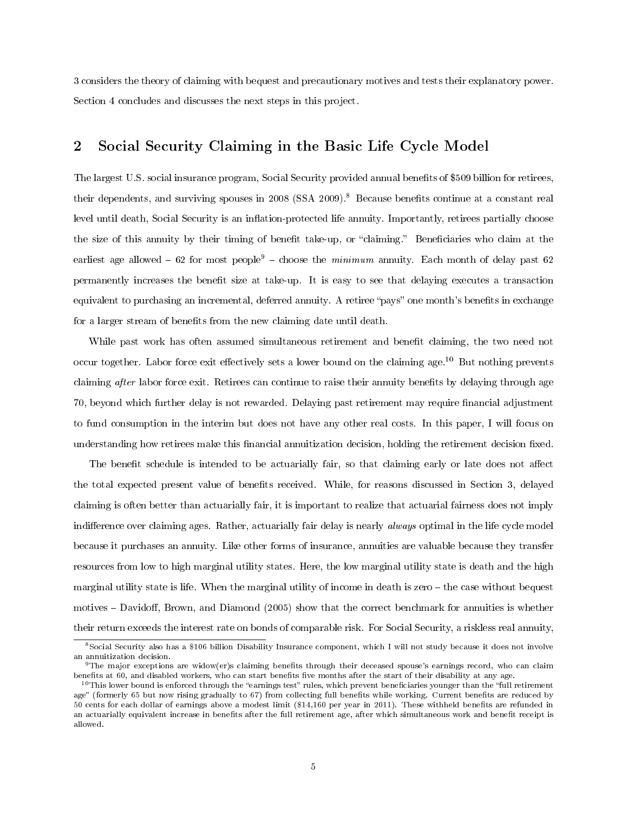3 considers the theory of claiming with bequest and precautionary motives and tests their explanatory power. Section 4 concludes and discusses the next steps in this project.

#### 2 Social Security Claiming in the Basic Life Cycle Model

The largest U.S. social insurance program, Social Security provided annual benets of \$509 billion for retirees, their dependents, and surviving spouses in 2008 (SSA 2009).<sup>8</sup> Because benefits continue at a constant real level until death, Social Security is an inflation-protected life annuity. Importantly, retirees partially choose the size of this annuity by their timing of benefit take-up, or "claiming." Beneficiaries who claim at the earliest age allowed  $-62$  for most people<sup>9</sup>  $-$  choose the minimum annuity. Each month of delay past 62 permanently increases the benefit size at take-up. It is easy to see that delaying executes a transaction equivalent to purchasing an incremental, deferred annuity. A retiree "pays" one month's benefits in exchange for a larger stream of benefits from the new claiming date until death.

While past work has often assumed simultaneous retirement and benefit claiming, the two need not occur together. Labor force exit effectively sets a lower bound on the claiming age.<sup>10</sup> But nothing prevents claiming after labor force exit. Retirees can continue to raise their annuity benefits by delaying through age 70, beyond which further delay is not rewarded. Delaying past retirement may require financial adjustment to fund consumption in the interim but does not have any other real costs. In this paper, I will focus on understanding how retirees make this financial annuitization decision, holding the retirement decision fixed.

The benefit schedule is intended to be actuarially fair, so that claiming early or late does not affect the total expected present value of benefits received. While, for reasons discussed in Section 3, delayed claiming is often better than actuarially fair, it is important to realize that actuarial fairness does not imply indifference over claiming ages. Rather, actuarially fair delay is nearly *always* optimal in the life cycle model because it purchases an annuity. Like other forms of insurance, annuities are valuable because they transfer resources from low to high marginal utility states. Here, the low marginal utility state is death and the high marginal utility state is life. When the marginal utility of income in death is zero – the case without bequest motives – Davidoff, Brown, and Diamond (2005) show that the correct benchmark for annuities is whether their return exceeds the interest rate on bonds of comparable risk. For Social Security, a riskless real annuity,

<sup>8</sup>Social Security also has a \$106 billion Disability Insurance component, which I will not study because it does not involve an annuitization decision.

<sup>&</sup>lt;sup>9</sup>The major exceptions are widow(er)s claiming benefits through their deceased spouse's earnings record, who can claim benefits at 60, and disabled workers, who can start benefits five months after the start of their disability at any age.

 $10$ This lower bound is enforced through the "earnings test" rules, which prevent beneficiaries younger than the "full retirement" age" (formerly 65 but now rising gradually to 67) from collecting full benefits while working. Current benefits are reduced by 50 cents for each dollar of earnings above a modest limit (\$14,160 per year in 2011). These withheld benets are refunded in an actuarially equivalent increase in benefits after the full retirement age, after which simultaneous work and benefit receipt is allowed.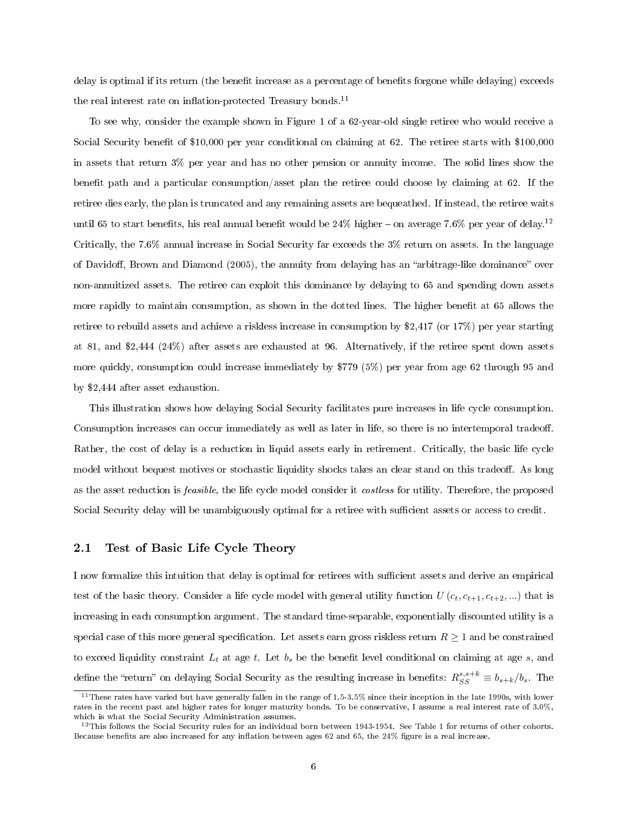delay is optimal if its return (the benefit increase as a percentage of benefits forgone while delaying) exceeds the real interest rate on inflation-protected Treasury bonds.<sup>11</sup>

To see why, consider the example shown in Figure 1 of a 62-year-old single retiree who would receive a Social Security benefit of \$10,000 per year conditional on claiming at 62. The retiree starts with \$100,000 in assets that return 3% per year and has no other pension or annuity income. The solid lines show the benefit path and a particular consumption/asset plan the retiree could choose by claiming at 62. If the retiree dies early, the plan is truncated and any remaining assets are bequeathed. If instead, the retiree waits until 65 to start benefits, his real annual benefit would be  $24\%$  higher  $-$  on average 7.6% per year of delay.<sup>12</sup> Critically, the 7.6% annual increase in Social Security far exceeds the 3% return on assets. In the language of Davidoff, Brown and Diamond (2005), the annuity from delaying has an "arbitrage-like dominance" over non-annuitized assets. The retiree can exploit this dominance by delaying to 65 and spending down assets more rapidly to maintain consumption, as shown in the dotted lines. The higher benefit at 65 allows the retiree to rebuild assets and achieve a riskless increase in consumption by \$2,417 (or 17%) per year starting at 81, and \$2,444 (24%) after assets are exhausted at 96. Alternatively, if the retiree spent down assets more quickly, consumption could increase immediately by \$779 (5%) per year from age 62 through 95 and by \$2,444 after asset exhaustion.

This illustration shows how delaying Social Security facilitates pure increases in life cycle consumption. Consumption increases can occur immediately as well as later in life, so there is no intertemporal tradeoff. Rather, the cost of delay is a reduction in liquid assets early in retirement. Critically, the basic life cycle model without bequest motives or stochastic liquidity shocks takes an clear stand on this tradeoff. As long as the asset reduction is feasible, the life cycle model consider it costless for utility. Therefore, the proposed Social Security delay will be unambiguously optimal for a retiree with sufficient assets or access to credit.

#### 2.1 Test of Basic Life Cycle Theory

I now formalize this intuition that delay is optimal for retirees with sucient assets and derive an empirical test of the basic theory. Consider a life cycle model with general utility function  $U(c_t, c_{t+1}, c_{t+2}, ...)$  that is increasing in each consumption argument. The standard time-separable, exponentially discounted utility is a special case of this more general specification. Let assets earn gross riskless return  $R \geq 1$  and be constrained to exceed liquidity constraint  $L_t$  at age t. Let  $b_s$  be the benefit level conditional on claiming at age s, and define the "return" on delaying Social Security as the resulting increase in benefits:  $R_{SS}^{s,s+k} \equiv b_{s+k}/b_s$ . The

<sup>&</sup>lt;sup>11</sup>These rates have varied but have generally fallen in the range of  $1.5-3.5\%$  since their inception in the late 1990s, with lower rates in the recent past and higher rates for longer maturity bonds. To be conservative, I assume a real interest rate of 3.0%, which is what the Social Security Administration assumes.

 $12$ This follows the Social Security rules for an individual born between 1943-1954. See Table 1 for returns of other cohorts. Because benefits are also increased for any inflation between ages 62 and 65, the  $24\%$  figure is a real increase.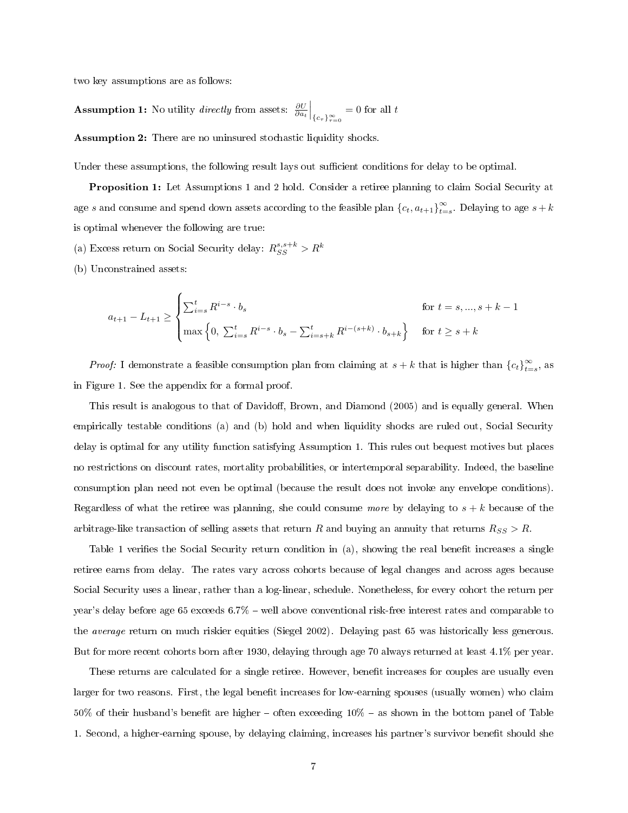two key assumptions are as follows:

**Assumption 1:** No utility *directly* from assets:  $\frac{\partial U}{\partial a_t}\Big|_{\{c_\tau\}_{\tau=0}^\infty}$  $= 0$  for all  $t$ 

Assumption 2: There are no uninsured stochastic liquidity shocks.

Under these assumptions, the following result lays out sufficient conditions for delay to be optimal.

Proposition 1: Let Assumptions 1 and 2 hold. Consider a retiree planning to claim Social Security at age s and consume and spend down assets according to the feasible plan  $\{c_t, a_{t+1}\}_{t=1}^\infty$  $\sum_{t=s}^{\infty}$  Delaying to age  $s+k$ is optimal whenever the following are true:

(a) Excess return on Social Security delay:  $R_{SS}^{s,s+k} > R^k$ 

(b) Unconstrained assets:

$$
a_{t+1} - L_{t+1} \ge \begin{cases} \sum_{i=s}^{t} R^{i-s} \cdot b_s & \text{for } t = s, ..., s+k-1\\ \max\left\{0, \sum_{i=s}^{t} R^{i-s} \cdot b_s - \sum_{i=s+k}^{t} R^{i-(s+k)} \cdot b_{s+k}\right\} & \text{for } t \ge s+k \end{cases}
$$

*Proof:* I demonstrate a feasible consumption plan from claiming at  $s + k$  that is higher than  ${c_t}_{t=0}^{\infty}$  $_{t=s}^{\infty}$ , as in Figure 1. See the appendix for a formal proof.

This result is analogous to that of Davidoff, Brown, and Diamond (2005) and is equally general. When empirically testable conditions (a) and (b) hold and when liquidity shocks are ruled out, Social Security delay is optimal for any utility function satisfying Assumption 1. This rules out bequest motives but places no restrictions on discount rates, mortality probabilities, or intertemporal separability. Indeed, the baseline consumption plan need not even be optimal (because the result does not invoke any envelope conditions). Regardless of what the retiree was planning, she could consume more by delaying to  $s + k$  because of the arbitrage-like transaction of selling assets that return R and buying an annuity that returns  $R_{SS} > R$ .

Table 1 verifies the Social Security return condition in (a), showing the real benefit increases a single retiree earns from delay. The rates vary across cohorts because of legal changes and across ages because Social Security uses a linear, rather than a log-linear, schedule. Nonetheless, for every cohort the return per year's delay before age 65 exceeds 6.7% – well above conventional risk-free interest rates and comparable to the average return on much riskier equities (Siegel 2002). Delaying past 65 was historically less generous. But for more recent cohorts born after 1930, delaying through age 70 always returned at least 4.1% per year.

These returns are calculated for a single retiree. However, benefit increases for couples are usually even larger for two reasons. First, the legal benefit increases for low-earning spouses (usually women) who claim  $50\%$  of their husband's benefit are higher – often exceeding  $10\%$  – as shown in the bottom panel of Table 1. Second, a higher-earning spouse, by delaying claiming, increases his partner's survivor benefit should she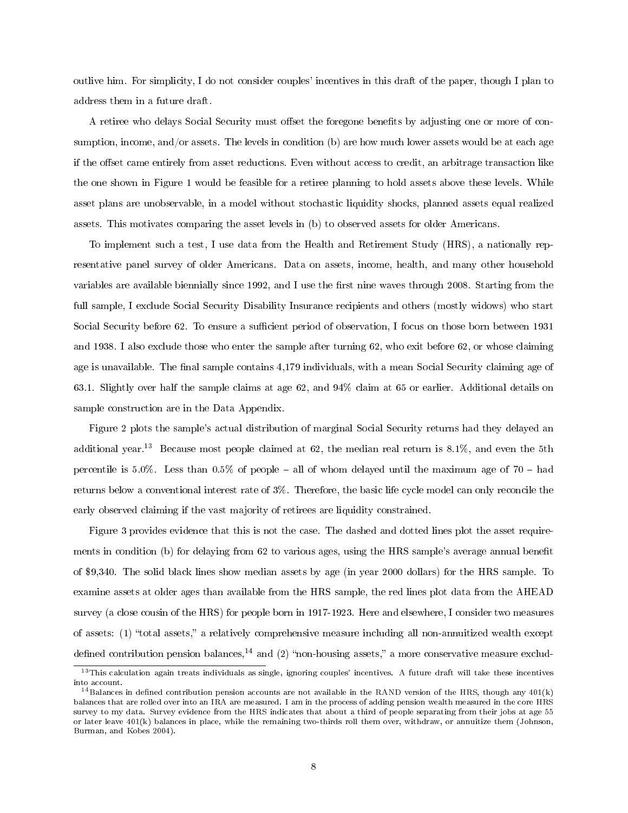outlive him. For simplicity, I do not consider couples' incentives in this draft of the paper, though I plan to address them in a future draft.

A retiree who delays Social Security must offset the foregone benefits by adjusting one or more of consumption, income, and/or assets. The levels in condition (b) are how much lower assets would be at each age if the offset came entirely from asset reductions. Even without access to credit, an arbitrage transaction like the one shown in Figure 1 would be feasible for a retiree planning to hold assets above these levels. While asset plans are unobservable, in a model without stochastic liquidity shocks, planned assets equal realized assets. This motivates comparing the asset levels in (b) to observed assets for older Americans.

To implement such a test, I use data from the Health and Retirement Study (HRS), a nationally representative panel survey of older Americans. Data on assets, income, health, and many other household variables are available biennially since 1992, and I use the first nine waves through 2008. Starting from the full sample, I exclude Social Security Disability Insurance recipients and others (mostly widows) who start Social Security before 62. To ensure a sufficient period of observation, I focus on those born between 1931 and 1938. I also exclude those who enter the sample after turning 62, who exit before 62, or whose claiming age is unavailable. The final sample contains 4,179 individuals, with a mean Social Security claiming age of 63.1. Slightly over half the sample claims at age 62, and 94% claim at 65 or earlier. Additional details on sample construction are in the Data Appendix.

Figure 2 plots the sample's actual distribution of marginal Social Security returns had they delayed an additional year.<sup>13</sup> Because most people claimed at 62, the median real return is 8.1%, and even the 5th percentile is  $5.0\%$ . Less than  $0.5\%$  of people – all of whom delayed until the maximum age of  $70$  – had returns below a conventional interest rate of 3%. Therefore, the basic life cycle model can only reconcile the early observed claiming if the vast majority of retirees are liquidity constrained.

Figure 3 provides evidence that this is not the case. The dashed and dotted lines plot the asset requirements in condition (b) for delaying from 62 to various ages, using the HRS sample's average annual benefit of \$9,340. The solid black lines show median assets by age (in year 2000 dollars) for the HRS sample. To examine assets at older ages than available from the HRS sample, the red lines plot data from the AHEAD survey (a close cousin of the HRS) for people born in 1917-1923. Here and elsewhere, I consider two measures of assets: (1) "total assets," a relatively comprehensive measure including all non-annuitized wealth except defined contribution pension balances,<sup>14</sup> and (2) "non-housing assets," a more conservative measure exclud-

 $13$ This calculation again treats individuals as single, ignoring couples' incentives. A future draft will take these incentives into account.

 $14$ Balances in defined contribution pension accounts are not available in the RAND version of the HRS, though any  $401(k)$ balances that are rolled over into an IRA are measured. I am in the process of adding pension wealth measured in the core HRS survey to my data. Survey evidence from the HRS indicates that about a third of people separating from their jobs at age 55 or later leave 401(k) balances in place, while the remaining two-thirds roll them over, withdraw, or annuitize them (Johnson, Burman, and Kobes 2004).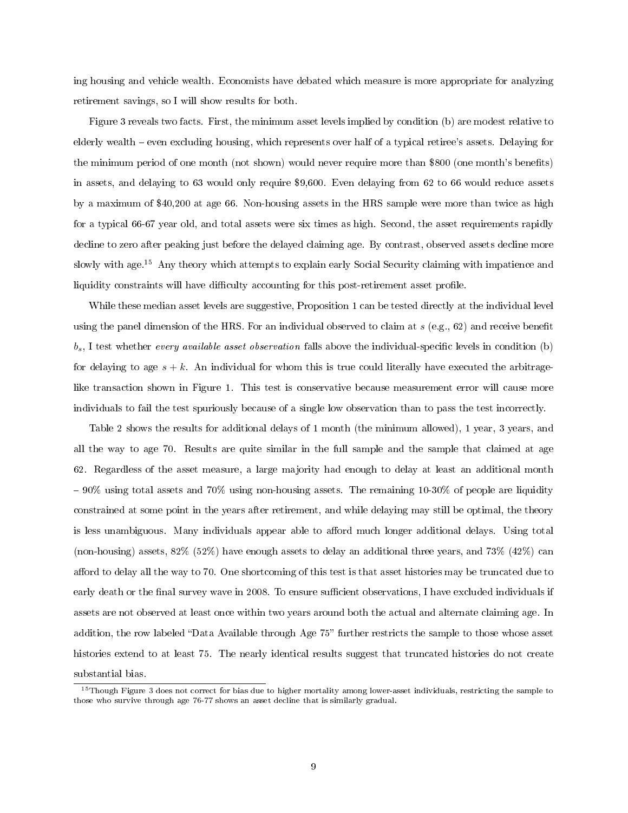ing housing and vehicle wealth. Economists have debated which measure is more appropriate for analyzing retirement savings, so I will show results for both.

Figure 3 reveals two facts. First, the minimum asset levels implied by condition (b) are modest relative to elderly wealth even excluding housing, which represents over half of a typical retiree's assets. Delaying for the minimum period of one month (not shown) would never require more than \$800 (one month's benets) in assets, and delaying to 63 would only require \$9,600. Even delaying from 62 to 66 would reduce assets by a maximum of \$40,200 at age 66. Non-housing assets in the HRS sample were more than twice as high for a typical 66-67 year old, and total assets were six times as high. Second, the asset requirements rapidly decline to zero after peaking just before the delayed claiming age. By contrast, observed assets decline more slowly with age.<sup>15</sup> Any theory which attempts to explain early Social Security claiming with impatience and liquidity constraints will have difficulty accounting for this post-retirement asset profile.

While these median asset levels are suggestive, Proposition 1 can be tested directly at the individual level using the panel dimension of the HRS. For an individual observed to claim at  $s$  (e.g., 62) and receive benefit  $b_s$ , I test whether every available asset observation falls above the individual-specific levels in condition (b) for delaying to age  $s + k$ . An individual for whom this is true could literally have executed the arbitragelike transaction shown in Figure 1. This test is conservative because measurement error will cause more individuals to fail the test spuriously because of a single low observation than to pass the test incorrectly.

Table 2 shows the results for additional delays of 1 month (the minimum allowed), 1 year, 3 years, and all the way to age 70. Results are quite similar in the full sample and the sample that claimed at age 62. Regardless of the asset measure, a large majority had enough to delay at least an additional month 90% using total assets and 70% using non-housing assets. The remaining 10-30% of people are liquidity constrained at some point in the years after retirement, and while delaying may still be optimal, the theory is less unambiguous. Many individuals appear able to afford much longer additional delays. Using total (non-housing) assets, 82% (52%) have enough assets to delay an additional three years, and 73% (42%) can afford to delay all the way to 70. One shortcoming of this test is that asset histories may be truncated due to early death or the final survey wave in 2008. To ensure sufficient observations, I have excluded individuals if assets are not observed at least once within two years around both the actual and alternate claiming age. In addition, the row labeled "Data Available through Age 75" further restricts the sample to those whose asset histories extend to at least 75. The nearly identical results suggest that truncated histories do not create substantial bias.

<sup>&</sup>lt;sup>15</sup>Though Figure 3 does not correct for bias due to higher mortality among lower-asset individuals, restricting the sample to those who survive through age 76-77 shows an asset decline that is similarly gradual.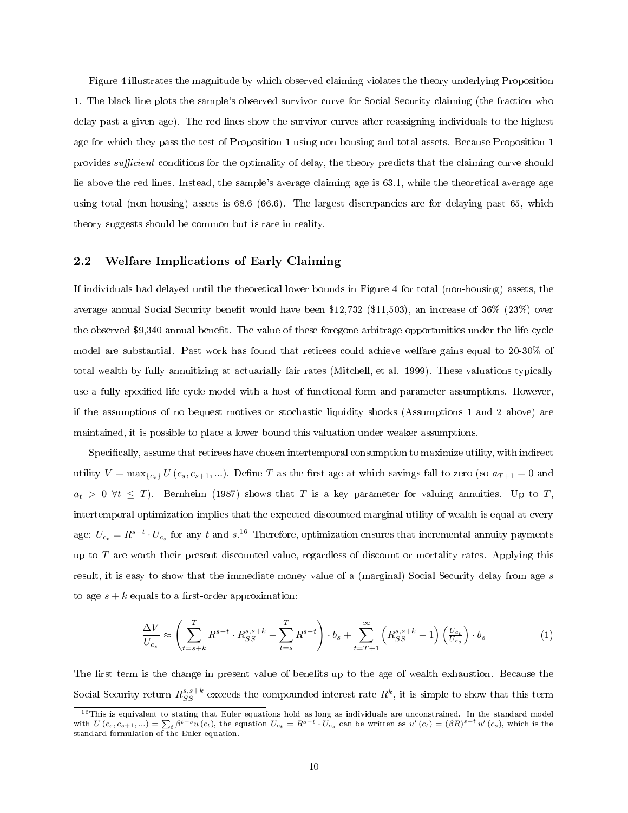Figure 4 illustrates the magnitude by which observed claiming violates the theory underlying Proposition 1. The black line plots the sample's observed survivor curve for Social Security claiming (the fraction who delay past a given age). The red lines show the survivor curves after reassigning individuals to the highest age for which they pass the test of Proposition 1 using non-housing and total assets. Because Proposition 1 provides *sufficient* conditions for the optimality of delay, the theory predicts that the claiming curve should lie above the red lines. Instead, the sample's average claiming age is 63.1, while the theoretical average age using total (non-housing) assets is 68.6 (66.6). The largest discrepancies are for delaying past 65, which theory suggests should be common but is rare in reality.

#### 2.2 Welfare Implications of Early Claiming

If individuals had delayed until the theoretical lower bounds in Figure 4 for total (non-housing) assets, the average annual Social Security benefit would have been \$12,732 (\$11,503), an increase of  $36\%$  (23%) over the observed \$9,340 annual benet. The value of these foregone arbitrage opportunities under the life cycle model are substantial. Past work has found that retirees could achieve welfare gains equal to 20-30% of total wealth by fully annuitizing at actuarially fair rates (Mitchell, et al. 1999). These valuations typically use a fully specified life cycle model with a host of functional form and parameter assumptions. However, if the assumptions of no bequest motives or stochastic liquidity shocks (Assumptions 1 and 2 above) are maintained, it is possible to place a lower bound this valuation under weaker assumptions.

Specifically, assume that retirees have chosen intertemporal consumption to maximize utility, with indirect utility  $V = \max_{\{c_t\}} U(c_s, c_{s+1}, \ldots)$ . Define T as the first age at which savings fall to zero (so  $a_{T+1} = 0$  and  $a_t > 0 \ \forall t \leq T$ ). Bernheim (1987) shows that T is a key parameter for valuing annuities. Up to T, intertemporal optimization implies that the expected discounted marginal utility of wealth is equal at every age:  $U_{c_t} = R^{s-t} \cdot U_{c_s}$  for any t and  $s$ .<sup>16</sup> Therefore, optimization ensures that incremental annuity payments up to  $T$  are worth their present discounted value, regardless of discount or mortality rates. Applying this result, it is easy to show that the immediate money value of a (marginal) Social Security delay from age s to age  $s + k$  equals to a first-order approximation:

$$
\frac{\Delta V}{U_{c_s}} \approx \left(\sum_{t=s+k}^T R^{s-t} \cdot R_{SS}^{s,s+k} - \sum_{t=s}^T R^{s-t}\right) \cdot b_s + \sum_{t=T+1}^\infty \left(R_{SS}^{s,s+k} - 1\right) \left(\frac{U_{c_t}}{U_{c_s}}\right) \cdot b_s \tag{1}
$$

The first term is the change in present value of benefits up to the age of wealth exhaustion. Because the Social Security return  $R_{SS}^{s,s+k}$  exceeds the compounded interest rate  $R^k$ , it is simple to show that this term

<sup>&</sup>lt;sup>16</sup>This is equivalent to stating that Euler equations hold as long as individuals are unconstrained. In the standard model with  $U(c_s, c_{s+1}, ...) = \sum_t \beta^{t-s} u(c_t)$ , the equation  $U_{c_t} = R^{s-t} \cdot U_{c_s}$  can be written as  $u'(c_t) = (\beta R)^{s-t} u'(c_s)$ , which is the standard formulation of the Euler equation.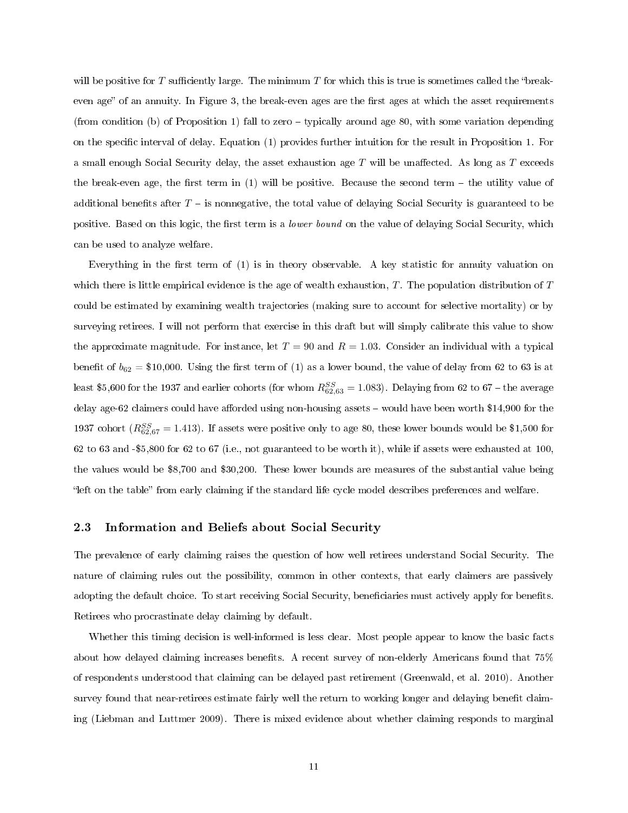will be positive for T sufficiently large. The minimum T for which this is true is sometimes called the "breakeven age" of an annuity. In Figure 3, the break-even ages are the first ages at which the asset requirements (from condition (b) of Proposition 1) fall to zero  $-$  typically around age 80, with some variation depending on the specific interval of delay. Equation (1) provides further intuition for the result in Proposition 1. For a small enough Social Security delay, the asset exhaustion age  $T$  will be unaffected. As long as  $T$  exceeds the break-even age, the first term in  $(1)$  will be positive. Because the second term  $-$  the utility value of additional benefits after  $T -$  is nonnegative, the total value of delaying Social Security is guaranteed to be positive. Based on this logic, the first term is a *lower bound* on the value of delaying Social Security, which can be used to analyze welfare.

Everything in the first term of  $(1)$  is in theory observable. A key statistic for annuity valuation on which there is little empirical evidence is the age of wealth exhaustion,  $T$ . The population distribution of  $T$ could be estimated by examining wealth trajectories (making sure to account for selective mortality) or by surveying retirees. I will not perform that exercise in this draft but will simply calibrate this value to show the approximate magnitude. For instance, let  $T = 90$  and  $R = 1.03$ . Consider an individual with a typical benefit of  $b_{62} = $10,000$ . Using the first term of (1) as a lower bound, the value of delay from 62 to 63 is at least \$5,600 for the 1937 and earlier cohorts (for whom  $R_{62,63}^{SS} = 1.083$ ). Delaying from 62 to 67 – the average delay age-62 claimers could have afforded using non-housing assets  $-$  would have been worth \$14,900 for the 1937 cohort  $(R_{62,67}^{SS} = 1.413)$ . If assets were positive only to age 80, these lower bounds would be \$1,500 for 62 to 63 and -\$5,800 for 62 to 67 (i.e., not guaranteed to be worth it), while if assets were exhausted at 100, the values would be \$8,700 and \$30,200. These lower bounds are measures of the substantial value being "left on the table" from early claiming if the standard life cycle model describes preferences and welfare.

#### 2.3 Information and Beliefs about Social Security

The prevalence of early claiming raises the question of how well retirees understand Social Security. The nature of claiming rules out the possibility, common in other contexts, that early claimers are passively adopting the default choice. To start receiving Social Security, beneficiaries must actively apply for benefits. Retirees who procrastinate delay claiming by default.

Whether this timing decision is well-informed is less clear. Most people appear to know the basic facts about how delayed claiming increases benefits. A recent survey of non-elderly Americans found that  $75\%$ of respondents understood that claiming can be delayed past retirement (Greenwald, et al. 2010). Another survey found that near-retirees estimate fairly well the return to working longer and delaying benefit claiming (Liebman and Luttmer 2009). There is mixed evidence about whether claiming responds to marginal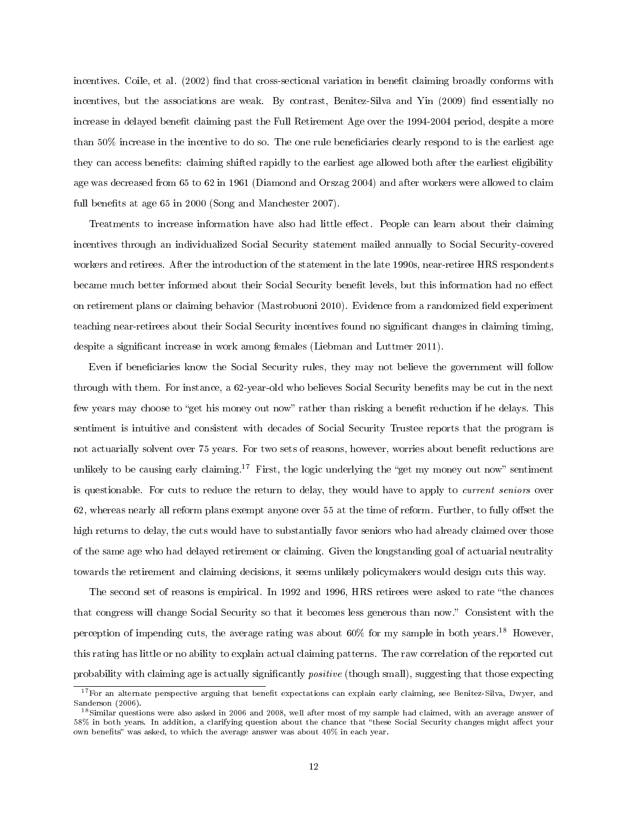incentives. Coile, et al. (2002) find that cross-sectional variation in benefit claiming broadly conforms with incentives, but the associations are weak. By contrast, Benitez-Silva and Yin (2009) find essentially no increase in delayed benefit claiming past the Full Retirement Age over the 1994-2004 period, despite a more than 50% increase in the incentive to do so. The one rule beneficiaries clearly respond to is the earliest age they can access benets: claiming shifted rapidly to the earliest age allowed both after the earliest eligibility age was decreased from 65 to 62 in 1961 (Diamond and Orszag 2004) and after workers were allowed to claim full benefits at age 65 in 2000 (Song and Manchester 2007).

Treatments to increase information have also had little effect. People can learn about their claiming incentives through an individualized Social Security statement mailed annually to Social Security-covered workers and retirees. After the introduction of the statement in the late 1990s, near-retiree HRS respondents became much better informed about their Social Security benefit levels, but this information had no effect on retirement plans or claiming behavior (Mastrobuoni 2010). Evidence from a randomized field experiment teaching near-retirees about their Social Security incentives found no signicant changes in claiming timing, despite a significant increase in work among females (Liebman and Luttmer 2011).

Even if beneficiaries know the Social Security rules, they may not believe the government will follow through with them. For instance, a 62-year-old who believes Social Security benets may be cut in the next few years may choose to "get his money out now" rather than risking a benefit reduction if he delays. This sentiment is intuitive and consistent with decades of Social Security Trustee reports that the program is not actuarially solvent over 75 years. For two sets of reasons, however, worries about benefit reductions are unlikely to be causing early claiming.<sup>17</sup> First, the logic underlying the "get my money out now" sentiment is questionable. For cuts to reduce the return to delay, they would have to apply to *current seniors* over  $62$ , whereas nearly all reform plans exempt anyone over  $55$  at the time of reform. Further, to fully offset the high returns to delay, the cuts would have to substantially favor seniors who had already claimed over those of the same age who had delayed retirement or claiming. Given the longstanding goal of actuarial neutrality towards the retirement and claiming decisions, it seems unlikely policymakers would design cuts this way.

The second set of reasons is empirical. In 1992 and 1996, HRS retirees were asked to rate the chances that congress will change Social Security so that it becomes less generous than now. Consistent with the perception of impending cuts, the average rating was about  $60\%$  for my sample in both years.<sup>18</sup> However, this rating has little or no ability to explain actual claiming patterns. The raw correlation of the reported cut probability with claiming age is actually significantly *positive* (though small), suggesting that those expecting

 $17$  For an alternate perspective arguing that benefit expectations can explain early claiming, see Benitez-Silva, Dwyer, and Sanderson (2006).

<sup>&</sup>lt;sup>18</sup>Similar questions were also asked in 2006 and 2008, well after most of my sample had claimed, with an average answer of 58% in both years. In addition, a clarifying question about the chance that "these Social Security changes might affect your own benefits" was asked, to which the average answer was about  $40\%$  in each year.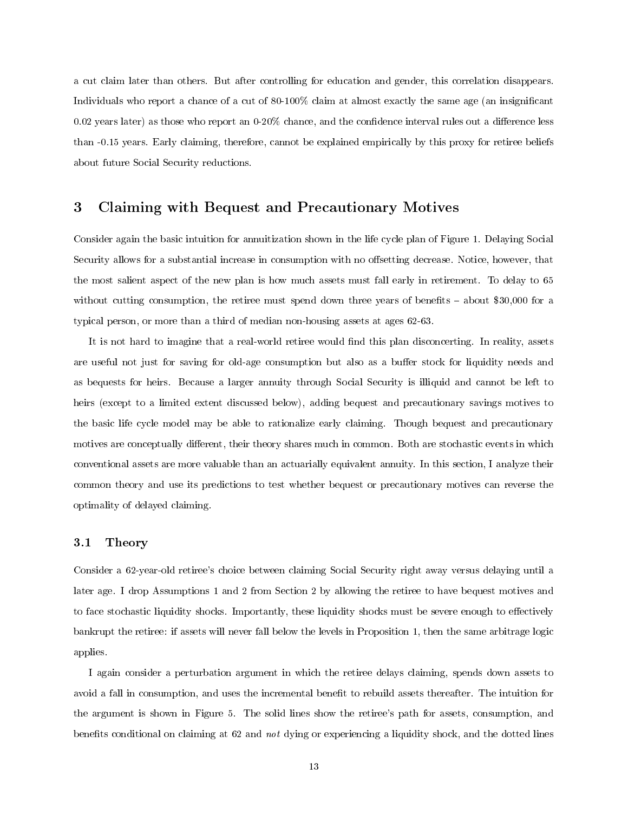a cut claim later than others. But after controlling for education and gender, this correlation disappears. Individuals who report a chance of a cut of 80-100% claim at almost exactly the same age (an insignicant  $0.02$  years later) as those who report an  $0.20\%$  chance, and the confidence interval rules out a difference less than -0.15 years. Early claiming, therefore, cannot be explained empirically by this proxy for retiree beliefs about future Social Security reductions.

### 3 Claiming with Bequest and Precautionary Motives

Consider again the basic intuition for annuitization shown in the life cycle plan of Figure 1. Delaying Social Security allows for a substantial increase in consumption with no offsetting decrease. Notice, however, that the most salient aspect of the new plan is how much assets must fall early in retirement. To delay to 65 without cutting consumption, the retiree must spend down three years of benefits  $-$  about \$30,000 for a typical person, or more than a third of median non-housing assets at ages 62-63.

It is not hard to imagine that a real-world retiree would find this plan disconcerting. In reality, assets are useful not just for saving for old-age consumption but also as a buffer stock for liquidity needs and as bequests for heirs. Because a larger annuity through Social Security is illiquid and cannot be left to heirs (except to a limited extent discussed below), adding bequest and precautionary savings motives to the basic life cycle model may be able to rationalize early claiming. Though bequest and precautionary motives are conceptually different, their theory shares much in common. Both are stochastic events in which conventional assets are more valuable than an actuarially equivalent annuity. In this section, I analyze their common theory and use its predictions to test whether bequest or precautionary motives can reverse the optimality of delayed claiming.

#### 3.1 Theory

Consider a 62-year-old retiree's choice between claiming Social Security right away versus delaying until a later age. I drop Assumptions 1 and 2 from Section 2 by allowing the retiree to have bequest motives and to face stochastic liquidity shocks. Importantly, these liquidity shocks must be severe enough to effectively bankrupt the retiree: if assets will never fall below the levels in Proposition 1, then the same arbitrage logic applies.

I again consider a perturbation argument in which the retiree delays claiming, spends down assets to avoid a fall in consumption, and uses the incremental benefit to rebuild assets thereafter. The intuition for the argument is shown in Figure 5. The solid lines show the retiree's path for assets, consumption, and benefits conditional on claiming at 62 and not dying or experiencing a liquidity shock, and the dotted lines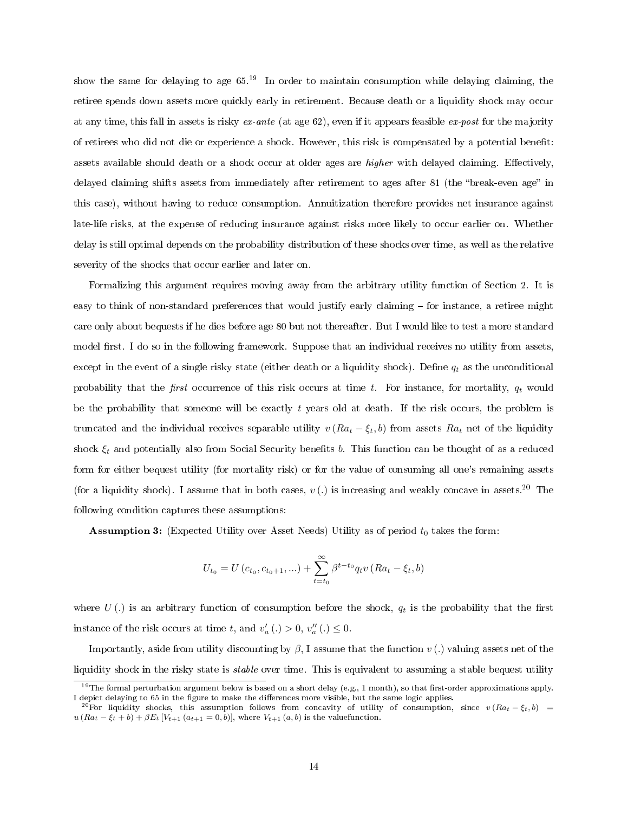show the same for delaying to age  $65<sup>19</sup>$  In order to maintain consumption while delaying claiming, the retiree spends down assets more quickly early in retirement. Because death or a liquidity shock may occur at any time, this fall in assets is risky  $ex$ -ante (at age 62), even if it appears feasible  $ex$ -post for the majority of retirees who did not die or experience a shock. However, this risk is compensated by a potential benet: assets available should death or a shock occur at older ages are *higher* with delayed claiming. Effectively, delayed claiming shifts assets from immediately after retirement to ages after 81 (the "break-even age" in this case), without having to reduce consumption. Annuitization therefore provides net insurance against late-life risks, at the expense of reducing insurance against risks more likely to occur earlier on. Whether delay is still optimal depends on the probability distribution of these shocks over time, as well as the relative severity of the shocks that occur earlier and later on.

Formalizing this argument requires moving away from the arbitrary utility function of Section 2. It is easy to think of non-standard preferences that would justify early claiming – for instance, a retiree might care only about bequests if he dies before age 80 but not thereafter. But I would like to test a more standard model first. I do so in the following framework. Suppose that an individual receives no utility from assets, except in the event of a single risky state (either death or a liquidity shock). Define  $q_t$  as the unconditional probability that the first occurrence of this risk occurs at time t. For instance, for mortality,  $q_t$  would be the probability that someone will be exactly  $t$  years old at death. If the risk occurs, the problem is truncated and the individual receives separable utility  $v(Ra_t - \xi_t, b)$  from assets  $Ra_t$  net of the liquidity shock  $\xi_t$  and potentially also from Social Security benefits b. This function can be thought of as a reduced form for either bequest utility (for mortality risk) or for the value of consuming all one's remaining assets (for a liquidity shock). I assume that in both cases,  $v(.)$  is increasing and weakly concave in assets.<sup>20</sup> The following condition captures these assumptions:

**Assumption 3:** (Expected Utility over Asset Needs) Utility as of period  $t_0$  takes the form:

$$
U_{t_0} = U(c_{t_0}, c_{t_0+1}, \ldots) + \sum_{t=t_0}^{\infty} \beta^{t-t_0} q_t v (Ra_t - \xi_t, b)
$$

where  $U(.)$  is an arbitrary function of consumption before the shock,  $q_t$  is the probability that the first instance of the risk occurs at time t, and  $v_a'$  (.) > 0,  $v_a''$  (.)  $\leq$  0.

Importantly, aside from utility discounting by  $\beta$ , I assume that the function v(.) valuing assets net of the liquidity shock in the risky state is *stable* over time. This is equivalent to assuming a stable bequest utility

 $19$ The formal perturbation argument below is based on a short delay (e.g., 1 month), so that first-order approximations apply. I depict delaying to 65 in the figure to make the differences more visible, but the same logic applies.

<sup>&</sup>lt;sup>20</sup>For liquidity shocks, this assumption follows from concavity of utility of consumption, since  $v (Ra_t - \xi_t, b)$  =  $u (Ra_t - \xi_t + b) + \beta E_t [V_{t+1} (a_{t+1} = 0, b)],$  where  $V_{t+1} (a, b)$  is the valuefunction.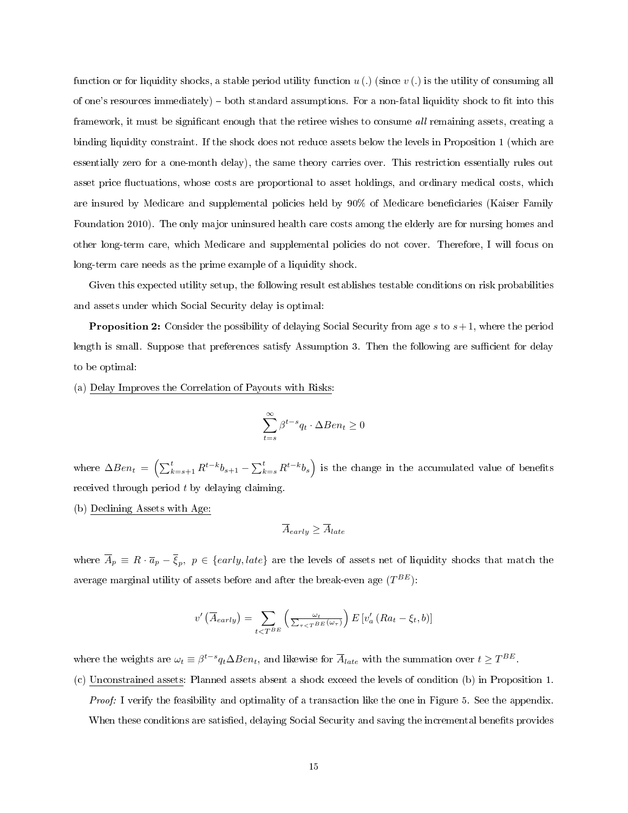function or for liquidity shocks, a stable period utility function  $u(.)$  (since  $v(.)$  is the utility of consuming all of one's resources immediately)  $-$  both standard assumptions. For a non-fatal liquidity shock to fit into this framework, it must be significant enough that the retiree wishes to consume *all* remaining assets, creating a binding liquidity constraint. If the shock does not reduce assets below the levels in Proposition 1 (which are essentially zero for a one-month delay), the same theory carries over. This restriction essentially rules out asset price fluctuations, whose costs are proportional to asset holdings, and ordinary medical costs, which are insured by Medicare and supplemental policies held by 90% of Medicare beneficiaries (Kaiser Family Foundation 2010). The only major uninsured health care costs among the elderly are for nursing homes and other long-term care, which Medicare and supplemental policies do not cover. Therefore, I will focus on long-term care needs as the prime example of a liquidity shock.

Given this expected utility setup, the following result establishes testable conditions on risk probabilities and assets under which Social Security delay is optimal:

**Proposition 2:** Consider the possibility of delaying Social Security from age  $s$  to  $s+1$ , where the period length is small. Suppose that preferences satisfy Assumption 3. Then the following are sufficient for delay to be optimal:

(a) Delay Improves the Correlation of Payouts with Risks:

$$
\sum_{t=s}^{\infty}\beta^{t-s}q_t\cdot\Delta Ben_t\geq 0
$$

where  $\Delta Ben_t = \left( \sum_{k=s+1}^t R^{t-k} b_{s+1} - \sum_{k=s}^t R^{t-k} b_s \right)$  is the change in the accumulated value of benefits received through period  $t$  by delaying claiming.

(b) Declining Assets with Age:

$$
\overline{A}_{early} \geq \overline{A}_{late}
$$

where  $\overline{A}_p\equiv R\cdot\overline{a}_p-\overline{\xi}_p,\,\,p\in\{early, late\}$  are the levels of assets net of liquidity shocks that match the average marginal utility of assets before and after the break-even age  $(T^{BE})$ :

$$
v'\left(\overline{A}_{early}\right) = \sum_{t < T^{BE}} \left(\frac{\omega_t}{\sum_{\tau < T^{BE}} (\omega_{\tau})}\right) E\left[v'_a\left(Ra_t - \xi_t, b\right)\right]
$$

where the weights are  $\omega_t \equiv \beta^{t-s} q_t \Delta Ben_t$ , and likewise for  $\overline{A}_{late}$  with the summation over  $t \geq T^{BE}$ .

(c) Unconstrained assets: Planned assets absent a shock exceed the levels of condition (b) in Proposition 1.

Proof: I verify the feasibility and optimality of a transaction like the one in Figure 5. See the appendix. When these conditions are satisfied, delaying Social Security and saving the incremental benefits provides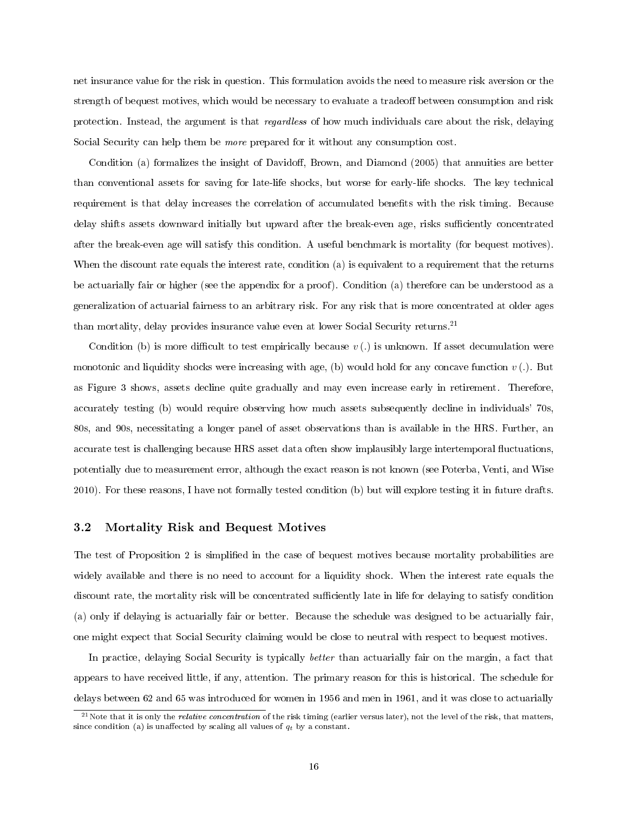net insurance value for the risk in question. This formulation avoids the need to measure risk aversion or the strength of bequest motives, which would be necessary to evaluate a tradeoff between consumption and risk protection. Instead, the argument is that regardless of how much individuals care about the risk, delaying Social Security can help them be more prepared for it without any consumption cost.

Condition (a) formalizes the insight of Davidoff, Brown, and Diamond (2005) that annuities are better than conventional assets for saving for late-life shocks, but worse for early-life shocks. The key technical requirement is that delay increases the correlation of accumulated benefits with the risk timing. Because delay shifts assets downward initially but upward after the break-even age, risks sufficiently concentrated after the break-even age will satisfy this condition. A useful benchmark is mortality (for bequest motives). When the discount rate equals the interest rate, condition (a) is equivalent to a requirement that the returns be actuarially fair or higher (see the appendix for a proof). Condition (a) therefore can be understood as a generalization of actuarial fairness to an arbitrary risk. For any risk that is more concentrated at older ages than mortality, delay provides insurance value even at lower Social Security returns.<sup>21</sup>

Condition (b) is more difficult to test empirically because  $v(.)$  is unknown. If asset decumulation were monotonic and liquidity shocks were increasing with age, (b) would hold for any concave function  $v$  (.). But as Figure 3 shows, assets decline quite gradually and may even increase early in retirement. Therefore, accurately testing (b) would require observing how much assets subsequently decline in individuals' 70s, 80s, and 90s, necessitating a longer panel of asset observations than is available in the HRS. Further, an accurate test is challenging because HRS asset data often show implausibly large intertemporal fluctuations, potentially due to measurement error, although the exact reason is not known (see Poterba, Venti, and Wise 2010). For these reasons, I have not formally tested condition (b) but will explore testing it in future drafts.

#### 3.2 Mortality Risk and Bequest Motives

The test of Proposition 2 is simplied in the case of bequest motives because mortality probabilities are widely available and there is no need to account for a liquidity shock. When the interest rate equals the discount rate, the mortality risk will be concentrated sufficiently late in life for delaying to satisfy condition (a) only if delaying is actuarially fair or better. Because the schedule was designed to be actuarially fair, one might expect that Social Security claiming would be close to neutral with respect to bequest motives.

In practice, delaying Social Security is typically better than actuarially fair on the margin, a fact that appears to have received little, if any, attention. The primary reason for this is historical. The schedule for delays between 62 and 65 was introduced for women in 1956 and men in 1961, and it was close to actuarially

 $^{21}$ Note that it is only the *relative concentration* of the risk timing (earlier versus later), not the level of the risk, that matters, since condition (a) is unaffected by scaling all values of  $q_t$  by a constant.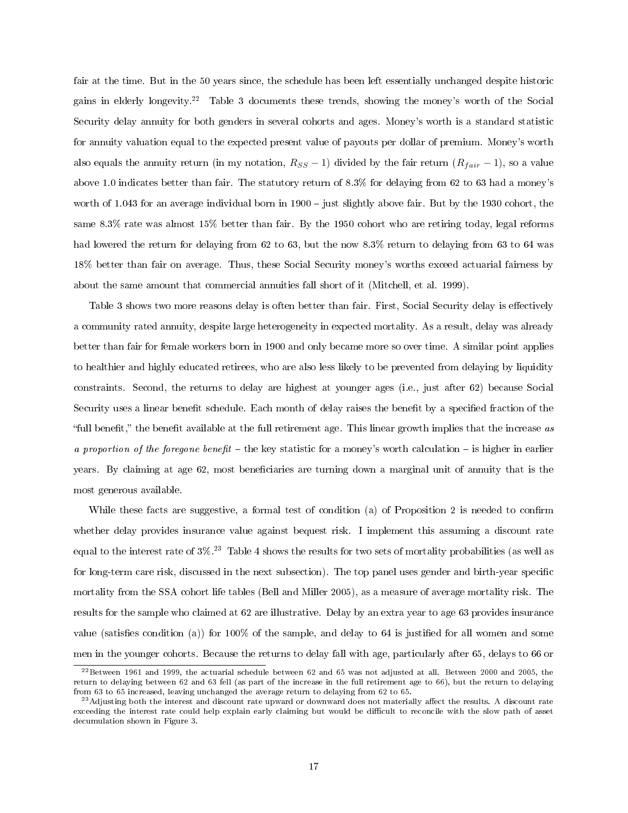fair at the time. But in the 50 years since, the schedule has been left essentially unchanged despite historic gains in elderly longevity.<sup>22</sup> Table 3 documents these trends, showing the money's worth of the Social Security delay annuity for both genders in several cohorts and ages. Money's worth is a standard statistic for annuity valuation equal to the expected present value of payouts per dollar of premium. Money's worth also equals the annuity return (in my notation,  $R_{SS} - 1$ ) divided by the fair return  $(R_{fair} - 1)$ , so a value above 1.0 indicates better than fair. The statutory return of 8.3% for delaying from 62 to 63 had a money's worth of 1.043 for an average individual born in 1900 - just slightly above fair. But by the 1930 cohort, the same 8.3% rate was almost 15% better than fair. By the 1950 cohort who are retiring today, legal reforms had lowered the return for delaying from 62 to 63, but the now 8.3% return to delaying from 63 to 64 was 18% better than fair on average. Thus, these Social Security money's worths exceed actuarial fairness by about the same amount that commercial annuities fall short of it (Mitchell, et al. 1999).

Table 3 shows two more reasons delay is often better than fair. First, Social Security delay is effectively a community rated annuity, despite large heterogeneity in expected mortality. As a result, delay was already better than fair for female workers born in 1900 and only became more so over time. A similar point applies to healthier and highly educated retirees, who are also less likely to be prevented from delaying by liquidity constraints. Second, the returns to delay are highest at younger ages (i.e., just after 62) because Social Security uses a linear benefit schedule. Each month of delay raises the benefit by a specified fraction of the "full benefit," the benefit available at the full retirement age. This linear growth implies that the increase as a proportion of the foregone benefit  $-$  the key statistic for a money's worth calculation  $-$  is higher in earlier years. By claiming at age 62, most beneficiaries are turning down a marginal unit of annuity that is the most generous available.

While these facts are suggestive, a formal test of condition (a) of Proposition 2 is needed to confirm whether delay provides insurance value against bequest risk. I implement this assuming a discount rate equal to the interest rate of  $3\%$ <sup>23</sup> Table 4 shows the results for two sets of mortality probabilities (as well as for long-term care risk, discussed in the next subsection). The top panel uses gender and birth-year specific mortality from the SSA cohort life tables (Bell and Miller 2005), as a measure of average mortality risk. The results for the sample who claimed at 62 are illustrative. Delay by an extra year to age 63 provides insurance value (satisfies condition (a)) for  $100\%$  of the sample, and delay to 64 is justified for all women and some men in the younger cohorts. Because the returns to delay fall with age, particularly after 65, delays to 66 or

 $^{22}$ Between 1961 and 1999, the actuarial schedule between 62 and 65 was not adjusted at all. Between 2000 and 2005, the return to delaying between 62 and 63 fell (as part of the increase in the full retirement age to 66), but the return to delaying from 63 to 65 increased, leaving unchanged the average return to delaying from 62 to 65.

 $^{23}$  Adjusting both the interest and discount rate upward or downward does not materially affect the results. A discount rate exceeding the interest rate could help explain early claiming but would be difficult to reconcile with the slow path of asset decumulation shown in Figure 3.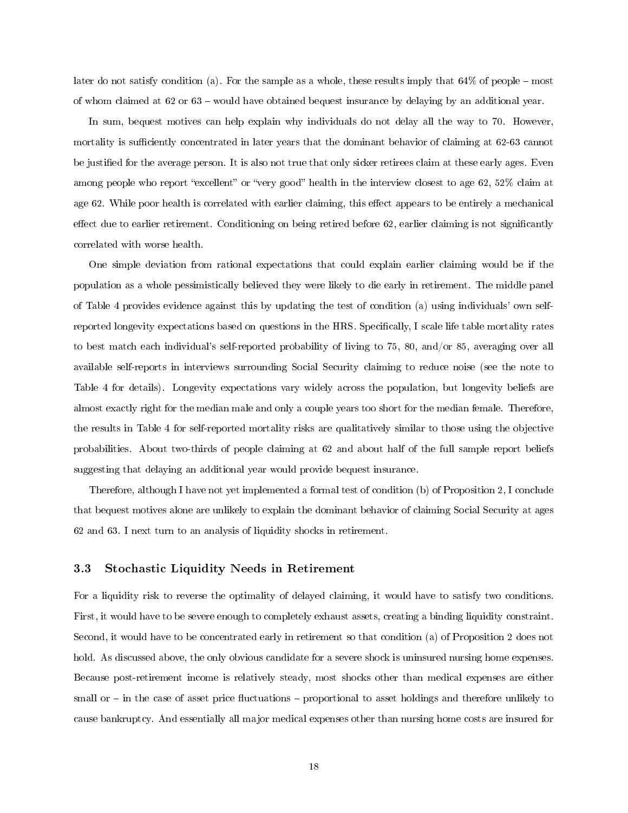later do not satisfy condition (a). For the sample as a whole, these results imply that  $64\%$  of people – most of whom claimed at  $62$  or  $63$  – would have obtained bequest insurance by delaying by an additional year.

In sum, bequest motives can help explain why individuals do not delay all the way to 70. However, mortality is sufficiently concentrated in later years that the dominant behavior of claiming at 62-63 cannot be justified for the average person. It is also not true that only sicker retirees claim at these early ages. Even among people who report "excellent" or "very good" health in the interview closest to age 62, 52% claim at age 62. While poor health is correlated with earlier claiming, this effect appears to be entirely a mechanical effect due to earlier retirement. Conditioning on being retired before 62, earlier claiming is not significantly correlated with worse health.

One simple deviation from rational expectations that could explain earlier claiming would be if the population as a whole pessimistically believed they were likely to die early in retirement. The middle panel of Table 4 provides evidence against this by updating the test of condition (a) using individuals' own selfreported longevity expectations based on questions in the HRS. Specifically, I scale life table mortality rates to best match each individual's self-reported probability of living to 75, 80, and/or 85, averaging over all available self-reports in interviews surrounding Social Security claiming to reduce noise (see the note to Table 4 for details). Longevity expectations vary widely across the population, but longevity beliefs are almost exactly right for the median male and only a couple years too short for the median female. Therefore, the results in Table 4 for self-reported mortality risks are qualitatively similar to those using the objective probabilities. About two-thirds of people claiming at 62 and about half of the full sample report beliefs suggesting that delaying an additional year would provide bequest insurance.

Therefore, although I have not yet implemented a formal test of condition (b) of Proposition 2, I conclude that bequest motives alone are unlikely to explain the dominant behavior of claiming Social Security at ages 62 and 63. I next turn to an analysis of liquidity shocks in retirement.

#### 3.3 Stochastic Liquidity Needs in Retirement

For a liquidity risk to reverse the optimality of delayed claiming, it would have to satisfy two conditions. First, it would have to be severe enough to completely exhaust assets, creating a binding liquidity constraint. Second, it would have to be concentrated early in retirement so that condition (a) of Proposition 2 does not hold. As discussed above, the only obvious candidate for a severe shock is uninsured nursing home expenses. Because post-retirement income is relatively steady, most shocks other than medical expenses are either small or  $-$  in the case of asset price fluctuations  $-$  proportional to asset holdings and therefore unlikely to cause bankruptcy. And essentially all major medical expenses other than nursing home costs are insured for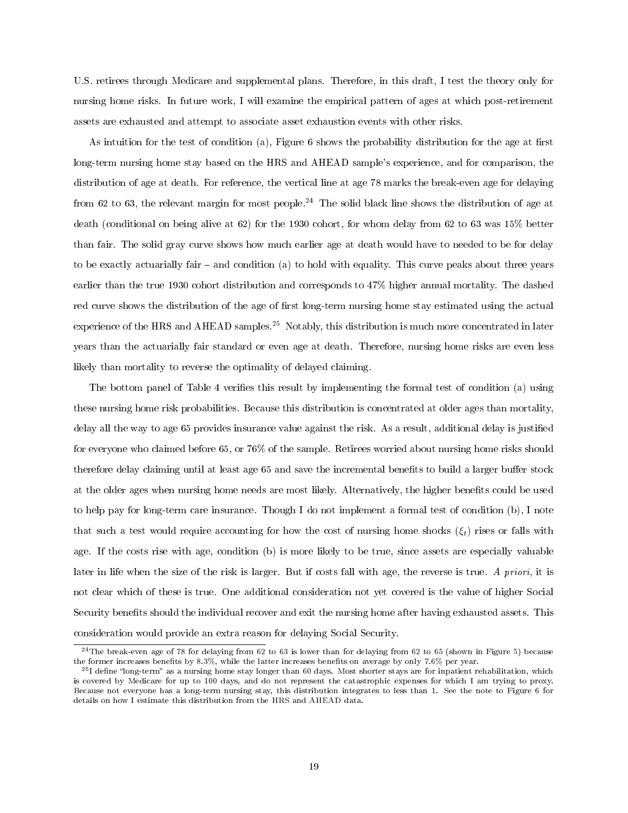U.S. retirees through Medicare and supplemental plans. Therefore, in this draft, I test the theory only for nursing home risks. In future work, I will examine the empirical pattern of ages at which post-retirement assets are exhausted and attempt to associate asset exhaustion events with other risks.

As intuition for the test of condition (a), Figure  $6$  shows the probability distribution for the age at first long-term nursing home stay based on the HRS and AHEAD sample's experience, and for comparison, the distribution of age at death. For reference, the vertical line at age 78 marks the break-even age for delaying from 62 to 63, the relevant margin for most people.<sup>24</sup> The solid black line shows the distribution of age at death (conditional on being alive at 62) for the 1930 cohort, for whom delay from 62 to 63 was 15% better than fair. The solid gray curve shows how much earlier age at death would have to needed to be for delay to be exactly actuarially fair  $-$  and condition (a) to hold with equality. This curve peaks about three years earlier than the true 1930 cohort distribution and corresponds to 47% higher annual mortality. The dashed red curve shows the distribution of the age of first long-term nursing home stay estimated using the actual experience of the HRS and AHEAD samples.<sup>25</sup> Notably, this distribution is much more concentrated in later years than the actuarially fair standard or even age at death. Therefore, nursing home risks are even less likely than mortality to reverse the optimality of delayed claiming.

The bottom panel of Table 4 verifies this result by implementing the formal test of condition (a) using these nursing home risk probabilities. Because this distribution is concentrated at older ages than mortality, delay all the way to age 65 provides insurance value against the risk. As a result, additional delay is justified for everyone who claimed before 65, or 76% of the sample. Retirees worried about nursing home risks should therefore delay claiming until at least age 65 and save the incremental benefits to build a larger buffer stock at the older ages when nursing home needs are most likely. Alternatively, the higher benets could be used to help pay for long-term care insurance. Though I do not implement a formal test of condition (b), I note that such a test would require accounting for how the cost of nursing home shocks  $(\xi_t)$  rises or falls with age. If the costs rise with age, condition (b) is more likely to be true, since assets are especially valuable later in life when the size of the risk is larger. But if costs fall with age, the reverse is true. A priori, it is not clear which of these is true. One additional consideration not yet covered is the value of higher Social Security benefits should the individual recover and exit the nursing home after having exhausted assets. This consideration would provide an extra reason for delaying Social Security.

 $\frac{24}{100}$  The break-even age of 78 for delaying from 62 to 63 is lower than for delaying from 62 to 65 (shown in Figure 5) because the former increases benefits by 8.3%, while the latter increases benefits on average by only 7.6% per year.

<sup>&</sup>lt;sup>25</sup>I define "long-term" as a nursing home stay longer than 60 days. Most shorter stays are for inpatient rehabilitation, which is covered by Medicare for up to 100 days, and do not represent the catastrophic expenses for which I am trying to proxy. Because not everyone has a long-term nursing stay, this distribution integrates to less than 1. See the note to Figure 6 for details on how I estimate this distribution from the HRS and AHEAD data.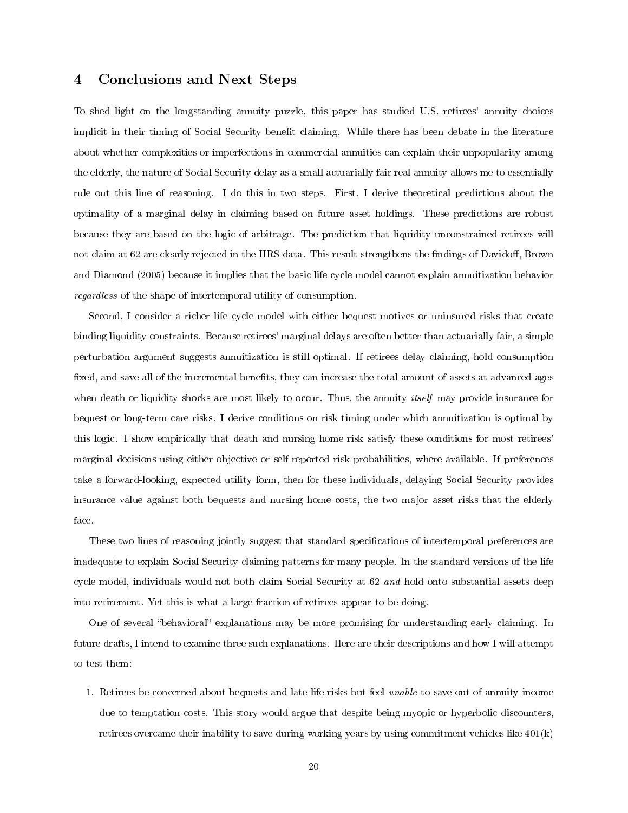#### 4 Conclusions and Next Steps

To shed light on the longstanding annuity puzzle, this paper has studied U.S. retirees' annuity choices implicit in their timing of Social Security benefit claiming. While there has been debate in the literature about whether complexities or imperfections in commercial annuities can explain their unpopularity among the elderly, the nature of Social Security delay as a small actuarially fair real annuity allows me to essentially rule out this line of reasoning. I do this in two steps. First, I derive theoretical predictions about the optimality of a marginal delay in claiming based on future asset holdings. These predictions are robust because they are based on the logic of arbitrage. The prediction that liquidity unconstrained retirees will not claim at 62 are clearly rejected in the HRS data. This result strengthens the findings of Davidoff, Brown and Diamond (2005) because it implies that the basic life cycle model cannot explain annuitization behavior regardless of the shape of intertemporal utility of consumption.

Second, I consider a richer life cycle model with either bequest motives or uninsured risks that create binding liquidity constraints. Because retirees' marginal delays are often better than actuarially fair, a simple perturbation argument suggests annuitization is still optimal. If retirees delay claiming, hold consumption fixed, and save all of the incremental benefits, they can increase the total amount of assets at advanced ages when death or liquidity shocks are most likely to occur. Thus, the annuity *itself* may provide insurance for bequest or long-term care risks. I derive conditions on risk timing under which annuitization is optimal by this logic. I show empirically that death and nursing home risk satisfy these conditions for most retirees' marginal decisions using either objective or self-reported risk probabilities, where available. If preferences take a forward-looking, expected utility form, then for these individuals, delaying Social Security provides insurance value against both bequests and nursing home costs, the two major asset risks that the elderly face.

These two lines of reasoning jointly suggest that standard specifications of intertemporal preferences are inadequate to explain Social Security claiming patterns for many people. In the standard versions of the life cycle model, individuals would not both claim Social Security at 62 and hold onto substantial assets deep into retirement. Yet this is what a large fraction of retirees appear to be doing.

One of several "behavioral" explanations may be more promising for understanding early claiming. In future drafts, I intend to examine three such explanations. Here are their descriptions and how I will attempt to test them:

1. Retirees be concerned about bequests and late-life risks but feel unable to save out of annuity income due to temptation costs. This story would argue that despite being myopic or hyperbolic discounters, retirees overcame their inability to save during working years by using commitment vehicles like 401(k)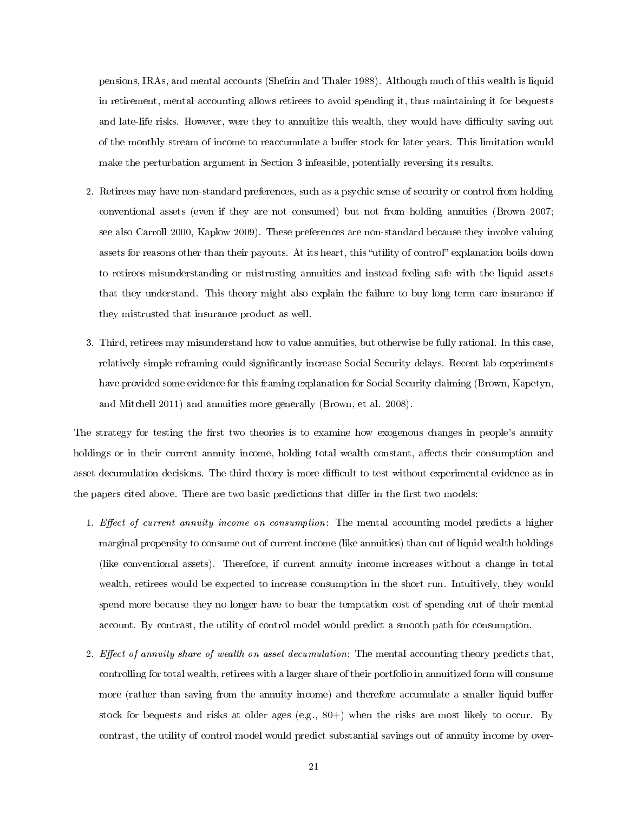pensions, IRAs, and mental accounts (Shefrin and Thaler 1988). Although much of this wealth is liquid in retirement, mental accounting allows retirees to avoid spending it, thus maintaining it for bequests and late-life risks. However, were they to annuitize this wealth, they would have difficulty saving out of the monthly stream of income to reaccumulate a buffer stock for later years. This limitation would make the perturbation argument in Section 3 infeasible, potentially reversing its results.

- 2. Retirees may have non-standard preferences, such as a psychic sense of security or control from holding conventional assets (even if they are not consumed) but not from holding annuities (Brown 2007; see also Carroll 2000, Kaplow 2009). These preferences are non-standard because they involve valuing assets for reasons other than their payouts. At its heart, this "utility of control" explanation boils down to retirees misunderstanding or mistrusting annuities and instead feeling safe with the liquid assets that they understand. This theory might also explain the failure to buy long-term care insurance if they mistrusted that insurance product as well.
- 3. Third, retirees may misunderstand how to value annuities, but otherwise be fully rational. In this case, relatively simple reframing could significantly increase Social Security delays. Recent lab experiments have provided some evidence for this framing explanation for Social Security claiming (Brown, Kapetyn, and Mitchell 2011) and annuities more generally (Brown, et al. 2008).

The strategy for testing the first two theories is to examine how exogenous changes in people's annuity holdings or in their current annuity income, holding total wealth constant, affects their consumption and asset decumulation decisions. The third theory is more difficult to test without experimental evidence as in the papers cited above. There are two basic predictions that differ in the first two models:

- 1. Effect of current annuity income on consumption: The mental accounting model predicts a higher marginal propensity to consume out of current income (like annuities) than out of liquid wealth holdings (like conventional assets). Therefore, if current annuity income increases without a change in total wealth, retirees would be expected to increase consumption in the short run. Intuitively, they would spend more because they no longer have to bear the temptation cost of spending out of their mental account. By contrast, the utility of control model would predict a smooth path for consumption.
- 2. Effect of annuity share of wealth on asset decumulation: The mental accounting theory predicts that, controlling for total wealth, retirees with a larger share of their portfolio in annuitized form will consume more (rather than saving from the annuity income) and therefore accumulate a smaller liquid buffer stock for bequests and risks at older ages (e.g., 80+) when the risks are most likely to occur. By contrast, the utility of control model would predict substantial savings out of annuity income by over-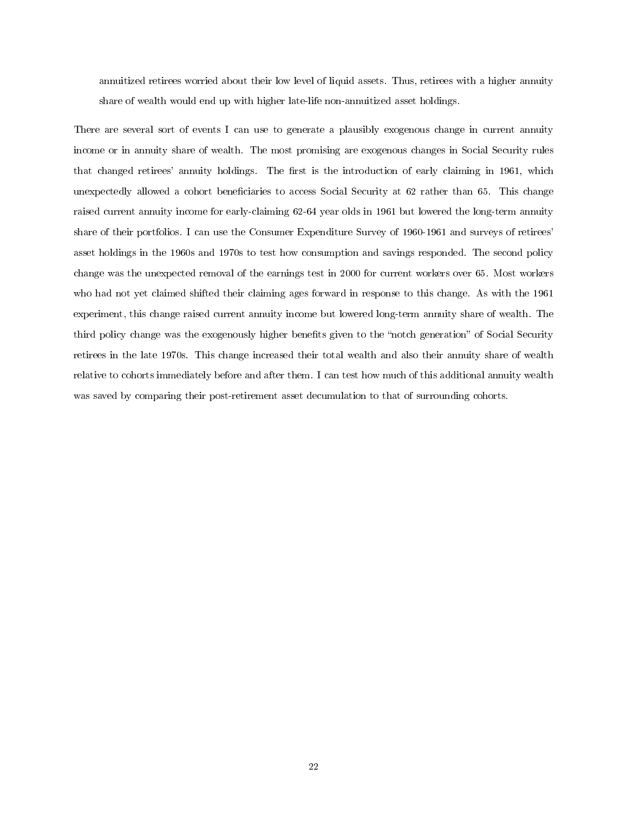annuitized retirees worried about their low level of liquid assets. Thus, retirees with a higher annuity share of wealth would end up with higher late-life non-annuitized asset holdings.

There are several sort of events I can use to generate a plausibly exogenous change in current annuity income or in annuity share of wealth. The most promising are exogenous changes in Social Security rules that changed retirees' annuity holdings. The first is the introduction of early claiming in 1961, which unexpectedly allowed a cohort beneficiaries to access Social Security at 62 rather than 65. This change raised current annuity income for early-claiming 62-64 year olds in 1961 but lowered the long-term annuity share of their portfolios. I can use the Consumer Expenditure Survey of 1960-1961 and surveys of retirees' asset holdings in the 1960s and 1970s to test how consumption and savings responded. The second policy change was the unexpected removal of the earnings test in 2000 for current workers over 65. Most workers who had not yet claimed shifted their claiming ages forward in response to this change. As with the 1961 experiment, this change raised current annuity income but lowered long-term annuity share of wealth. The third policy change was the exogenously higher benefits given to the "notch generation" of Social Security retirees in the late 1970s. This change increased their total wealth and also their annuity share of wealth relative to cohorts immediately before and after them. I can test how much of this additional annuity wealth was saved by comparing their post-retirement asset decumulation to that of surrounding cohorts.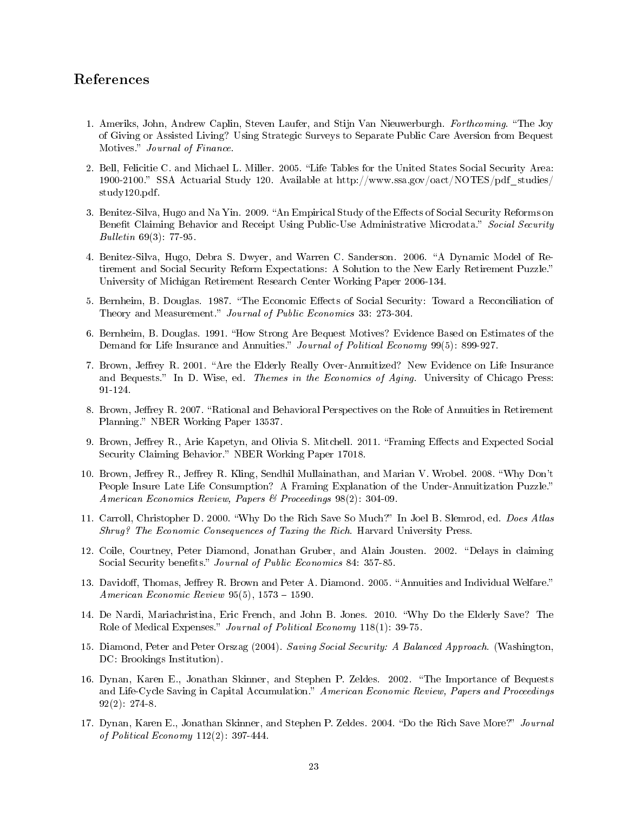#### References

- 1. Ameriks, John, Andrew Caplin, Steven Laufer, and Stijn Van Nieuwerburgh. Forthcoming. The Joy of Giving or Assisted Living? Using Strategic Surveys to Separate Public Care Aversion from Bequest Motives." Journal of Finance.
- 2. Bell, Felicitie C. and Michael L. Miller. 2005. "Life Tables for the United States Social Security Area: 1900-2100. SSA Actuarial Study 120. Available at http://www.ssa.gov/oact/NOTES/pdf\_studies/ study120.pdf.
- 3. Benitez-Silva, Hugo and Na Yin. 2009. "An Empirical Study of the Effects of Social Security Reforms on Benefit Claiming Behavior and Receipt Using Public-Use Administrative Microdata." Social Security Bulletin 69(3): 77-95.
- 4. Benitez-Silva, Hugo, Debra S. Dwyer, and Warren C. Sanderson. 2006. "A Dynamic Model of Retirement and Social Security Reform Expectations: A Solution to the New Early Retirement Puzzle. University of Michigan Retirement Research Center Working Paper 2006-134.
- 5. Bernheim, B. Douglas. 1987. "The Economic Effects of Social Security: Toward a Reconciliation of Theory and Measurement." *Journal of Public Economics* 33: 273-304.
- 6. Bernheim, B. Douglas. 1991. "How Strong Are Bequest Motives? Evidence Based on Estimates of the Demand for Life Insurance and Annuities." Journal of Political Economy 99(5): 899-927.
- 7. Brown, Jeffrey R. 2001. "Are the Elderly Really Over-Annuitized? New Evidence on Life Insurance and Bequests." In D. Wise, ed. Themes in the Economics of Aging. University of Chicago Press: 91-124.
- 8. Brown, Jeffrey R. 2007. "Rational and Behavioral Perspectives on the Role of Annuities in Retirement Planning." NBER Working Paper 13537.
- 9. Brown, Jeffrey R., Arie Kapetyn, and Olivia S. Mitchell. 2011. "Framing Effects and Expected Social Security Claiming Behavior." NBER Working Paper 17018.
- 10. Brown, Jeffrey R., Jeffrey R. Kling, Sendhil Mullainathan, and Marian V. Wrobel. 2008. "Why Don't People Insure Late Life Consumption? A Framing Explanation of the Under-Annuitization Puzzle. American Economics Review, Papers & Proceedings 98(2): 304-09.
- 11. Carroll, Christopher D. 2000. "Why Do the Rich Save So Much?" In Joel B. Slemrod, ed. Does Atlas Shrug? The Economic Consequences of Taxing the Rich. Harvard University Press.
- 12. Coile, Courtney, Peter Diamond, Jonathan Gruber, and Alain Jousten. 2002. "Delays in claiming Social Security benefits." Journal of Public Economics 84: 357-85.
- 13. Davidoff, Thomas, Jeffrey R. Brown and Peter A. Diamond. 2005. "Annuities and Individual Welfare." American Economic Review  $95(5)$ ,  $1573 - 1590$ .
- 14. De Nardi, Mariachristina, Eric French, and John B. Jones. 2010. Why Do the Elderly Save? The Role of Medical Expenses." Journal of Political Economy 118(1): 39-75.
- 15. Diamond, Peter and Peter Orszag (2004). Saving Social Security: A Balanced Approach. (Washington, DC: Brookings Institution).
- 16. Dynan, Karen E., Jonathan Skinner, and Stephen P. Zeldes. 2002. The Importance of Bequests and Life-Cycle Saving in Capital Accumulation." American Economic Review, Papers and Proceedings 92(2): 274-8.
- 17. Dynan, Karen E., Jonathan Skinner, and Stephen P. Zeldes. 2004. "Do the Rich Save More?" Journal of Political Economy 112(2): 397-444.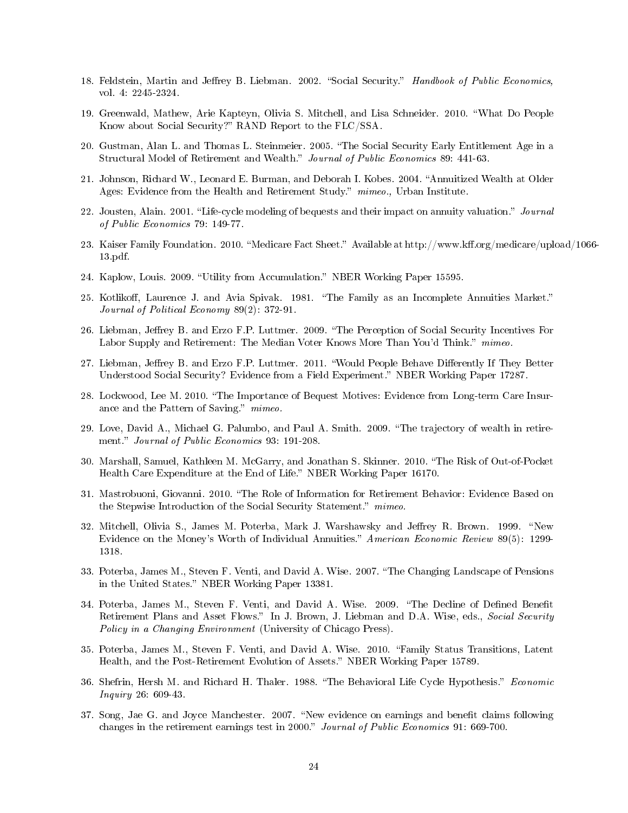- 18. Feldstein, Martin and Jeffrey B. Liebman. 2002. "Social Security." Handbook of Public Economics, vol. 4: 2245-2324.
- 19. Greenwald, Mathew, Arie Kapteyn, Olivia S. Mitchell, and Lisa Schneider. 2010. "What Do People Know about Social Security?" RAND Report to the FLC/SSA.
- 20. Gustman, Alan L. and Thomas L. Steinmeier. 2005. The Social Security Early Entitlement Age in a Structural Model of Retirement and Wealth." Journal of Public Economics 89: 441-63.
- 21. Johnson, Richard W., Leonard E. Burman, and Deborah I. Kobes. 2004. "Annuitized Wealth at Older Ages: Evidence from the Health and Retirement Study." mimeo., Urban Institute.
- 22. Jousten, Alain. 2001. "Life-cycle modeling of bequests and their impact on annuity valuation." *Journal* of Public Economics 79: 149-77.
- 23. Kaiser Family Foundation. 2010. "Medicare Fact Sheet." Available at http://www.kff.org/medicare/upload/1066-13.pdf.
- 24. Kaplow, Louis. 2009. "Utility from Accumulation." NBER Working Paper 15595.
- 25. Kotlikoff, Laurence J. and Avia Spivak. 1981. "The Family as an Incomplete Annuities Market." Journal of Political Economy 89(2): 372-91.
- 26. Liebman, Jeffrey B. and Erzo F.P. Luttmer. 2009. "The Perception of Social Security Incentives For Labor Supply and Retirement: The Median Voter Knows More Than You'd Think." mimeo.
- 27. Liebman, Jeffrey B. and Erzo F.P. Luttmer. 2011. "Would People Behave Differently If They Better Understood Social Security? Evidence from a Field Experiment." NBER Working Paper 17287.
- 28. Lockwood, Lee M. 2010. The Importance of Bequest Motives: Evidence from Long-term Care Insurance and the Pattern of Saving." mimeo.
- 29. Love, David A., Michael G. Palumbo, and Paul A. Smith. 2009. The trajectory of wealth in retirement." Journal of Public Economics 93: 191-208.
- 30. Marshall, Samuel, Kathleen M. McGarry, and Jonathan S. Skinner. 2010. The Risk of Out-of-Pocket Health Care Expenditure at the End of Life." NBER Working Paper 16170.
- 31. Mastrobuoni, Giovanni. 2010. "The Role of Information for Retirement Behavior: Evidence Based on the Stepwise Introduction of the Social Security Statement." mimeo.
- 32. Mitchell, Olivia S., James M. Poterba, Mark J. Warshawsky and Jeffrey R. Brown. 1999. "New Evidence on the Money's Worth of Individual Annuities." American Economic Review 89(5): 1299-1318.
- 33. Poterba, James M., Steven F. Venti, and David A. Wise. 2007. The Changing Landscape of Pensions in the United States." NBER Working Paper 13381.
- 34. Poterba, James M., Steven F. Venti, and David A. Wise. 2009. "The Decline of Defined Benefit Retirement Plans and Asset Flows." In J. Brown, J. Liebman and D.A. Wise, eds., Social Security Policy in a Changing Environment (University of Chicago Press).
- 35. Poterba, James M., Steven F. Venti, and David A. Wise. 2010. Family Status Transitions, Latent Health, and the Post-Retirement Evolution of Assets." NBER Working Paper 15789.
- 36. Shefrin, Hersh M. and Richard H. Thaler. 1988. "The Behavioral Life Cycle Hypothesis." Economic Inquiry 26: 609-43.
- 37. Song, Jae G. and Joyce Manchester. 2007. "New evidence on earnings and benefit claims following changes in the retirement earnings test in 2000." Journal of Public Economics 91: 669-700.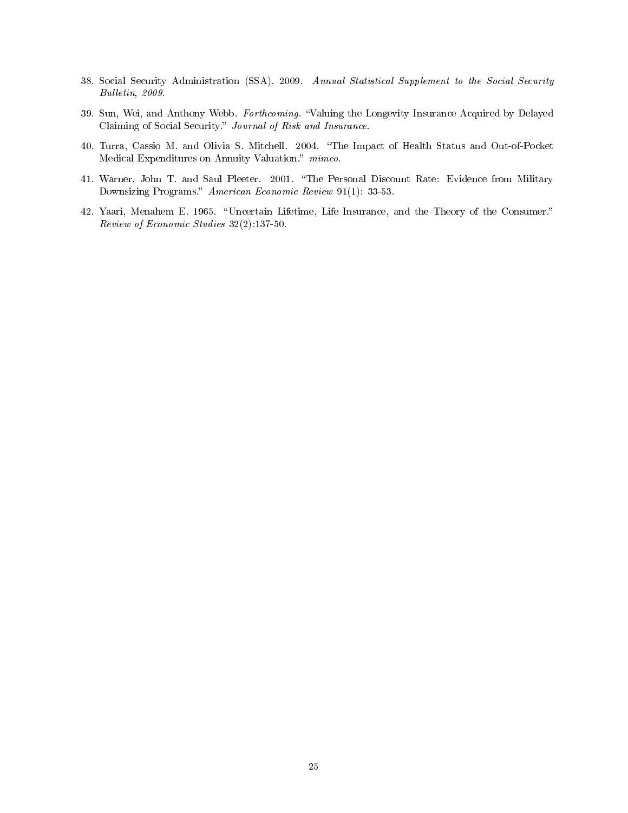- 38. Social Security Administration (SSA). 2009. Annual Statistical Supplement to the Social Security Bulletin, 2009.
- 39. Sun, Wei, and Anthony Webb. Forthcoming. Valuing the Longevity Insurance Acquired by Delayed Claiming of Social Security." Journal of Risk and Insurance.
- 40. Turra, Cassio M. and Olivia S. Mitchell. 2004. "The Impact of Health Status and Out-of-Pocket Medical Expenditures on Annuity Valuation." mimeo.
- 41. Warner, John T. and Saul Pleeter. 2001. "The Personal Discount Rate: Evidence from Military Downsizing Programs." American Economic Review 91(1): 33-53.
- 42. Yaari, Menahem E. 1965. Uncertain Lifetime, Life Insurance, and the Theory of the Consumer. Review of Economic Studies 32(2):137-50.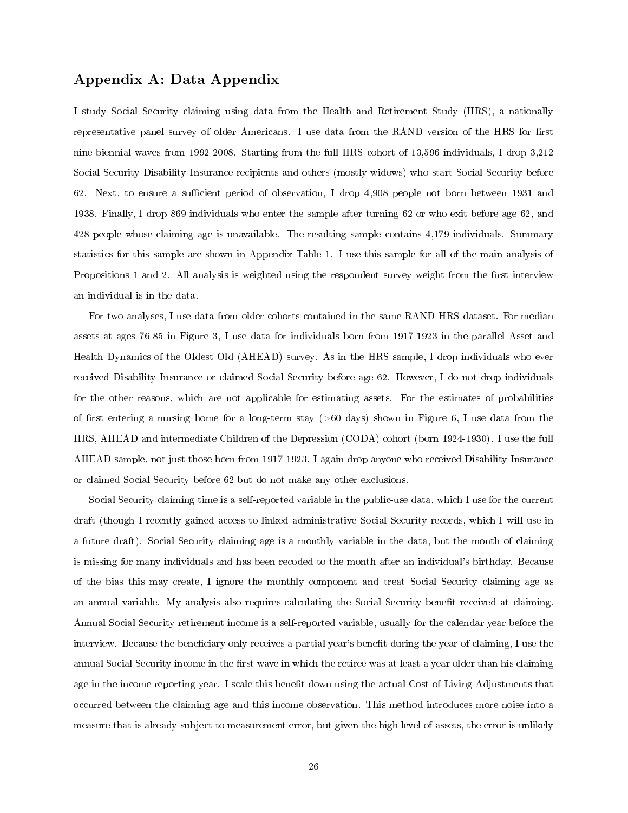#### Appendix A: Data Appendix

I study Social Security claiming using data from the Health and Retirement Study (HRS), a nationally representative panel survey of older Americans. I use data from the RAND version of the HRS for first nine biennial waves from 1992-2008. Starting from the full HRS cohort of 13,596 individuals, I drop 3,212 Social Security Disability Insurance recipients and others (mostly widows) who start Social Security before 62. Next, to ensure a sufficient period of observation, I drop 4,908 people not born between 1931 and 1938. Finally, I drop 869 individuals who enter the sample after turning 62 or who exit before age 62, and 428 people whose claiming age is unavailable. The resulting sample contains 4,179 individuals. Summary statistics for this sample are shown in Appendix Table 1. I use this sample for all of the main analysis of Propositions 1 and 2. All analysis is weighted using the respondent survey weight from the first interview an individual is in the data.

For two analyses, I use data from older cohorts contained in the same RAND HRS dataset. For median assets at ages 76-85 in Figure 3, I use data for individuals born from 1917-1923 in the parallel Asset and Health Dynamics of the Oldest Old (AHEAD) survey. As in the HRS sample, I drop individuals who ever received Disability Insurance or claimed Social Security before age 62. However, I do not drop individuals for the other reasons, which are not applicable for estimating assets. For the estimates of probabilities of first entering a nursing home for a long-term stay ( $>60$  days) shown in Figure 6, I use data from the HRS, AHEAD and intermediate Children of the Depression (CODA) cohort (born 1924-1930). I use the full AHEAD sample, not just those born from 1917-1923. I again drop anyone who received Disability Insurance or claimed Social Security before 62 but do not make any other exclusions.

Social Security claiming time is a self-reported variable in the public-use data, which I use for the current draft (though I recently gained access to linked administrative Social Security records, which I will use in a future draft). Social Security claiming age is a monthly variable in the data, but the month of claiming is missing for many individuals and has been recoded to the month after an individual's birthday. Because of the bias this may create, I ignore the monthly component and treat Social Security claiming age as an annual variable. My analysis also requires calculating the Social Security benefit received at claiming. Annual Social Security retirement income is a self-reported variable, usually for the calendar year before the interview. Because the beneficiary only receives a partial year's benefit during the year of claiming, I use the annual Social Security income in the first wave in which the retiree was at least a year older than his claiming age in the income reporting year. I scale this benefit down using the actual Cost-of-Living Adjustments that occurred between the claiming age and this income observation. This method introduces more noise into a measure that is already subject to measurement error, but given the high level of assets, the error is unlikely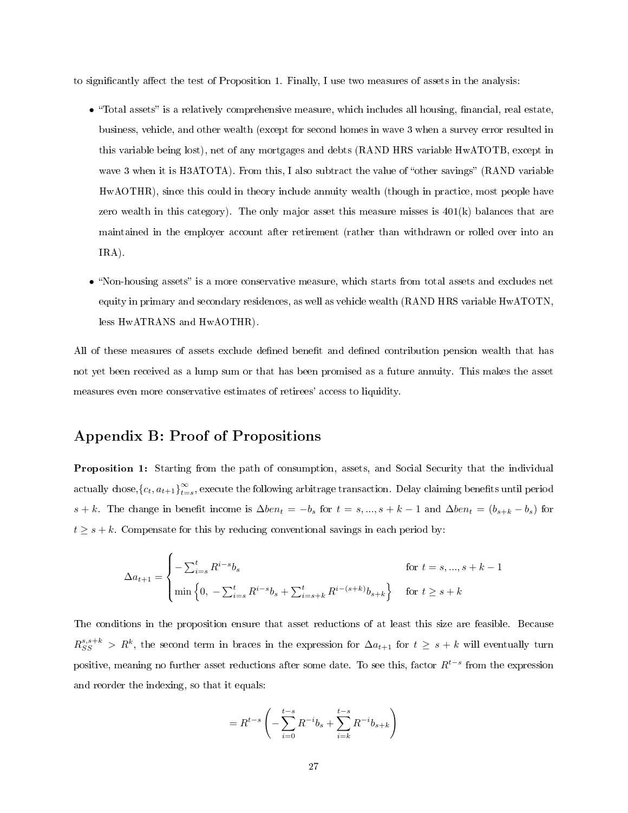to significantly affect the test of Proposition 1. Finally, I use two measures of assets in the analysis:

- $\bullet$  "Total assets" is a relatively comprehensive measure, which includes all housing, financial, real estate, business, vehicle, and other wealth (except for second homes in wave 3 when a survey error resulted in this variable being lost), net of any mortgages and debts (RAND HRS variable HwATOTB, except in wave 3 when it is H3ATOTA). From this, I also subtract the value of "other savings" (RAND variable HwAOTHR), since this could in theory include annuity wealth (though in practice, most people have zero wealth in this category). The only major asset this measure misses is  $401(k)$  balances that are maintained in the employer account after retirement (rather than withdrawn or rolled over into an IRA).
- "Non-housing assets" is a more conservative measure, which starts from total assets and excludes net equity in primary and secondary residences, as well as vehicle wealth (RAND HRS variable HwATOTN, less HwATRANS and HwAOTHR).

All of these measures of assets exclude defined benefit and defined contribution pension wealth that has not yet been received as a lump sum or that has been promised as a future annuity. This makes the asset measures even more conservative estimates of retirees' access to liquidity.

#### Appendix B: Proof of Propositions

Proposition 1: Starting from the path of consumption, assets, and Social Security that the individual actually chose,  ${c_t, a_{t+1}}_{t=0}^{\infty}$  $\sum_{t=s}^{\infty}$ , execute the following arbitrage transaction. Delay claiming benefits until period s + k. The change in benefit income is  $\Delta ben_t = -b_s$  for  $t = s, ..., s + k - 1$  and  $\Delta ben_t = (b_{s+k} - b_s)$  for  $t \geq s + k$ . Compensate for this by reducing conventional savings in each period by:

$$
\Delta a_{t+1} = \begin{cases}\n-\sum_{i=s}^{t} R^{i-s} b_s & \text{for } t = s, ..., s + k - 1 \\
\min \left\{0, -\sum_{i=s}^{t} R^{i-s} b_s + \sum_{i=s+k}^{t} R^{i-(s+k)} b_{s+k}\right\} & \text{for } t \ge s + k\n\end{cases}
$$

The conditions in the proposition ensure that asset reductions of at least this size are feasible. Because  $R_{SS}^{s,s+k} > R^k$ , the second term in braces in the expression for  $\Delta a_{t+1}$  for  $t \geq s+k$  will eventually turn positive, meaning no further asset reductions after some date. To see this, factor  $R^{t-s}$  from the expression and reorder the indexing, so that it equals:

$$
= R^{t-s} \left( -\sum_{i=0}^{t-s} R^{-i} b_s + \sum_{i=k}^{t-s} R^{-i} b_{s+k} \right)
$$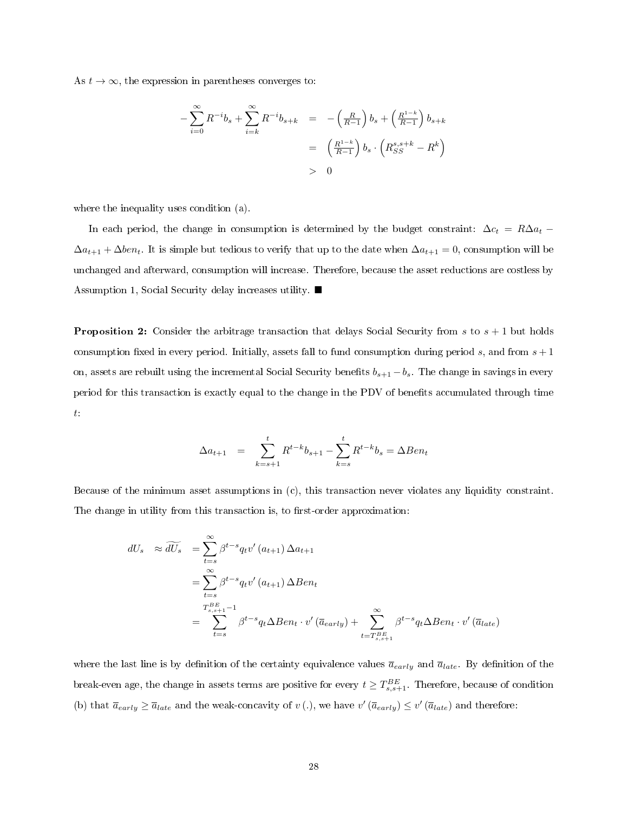As  $t \to \infty$ , the expression in parentheses converges to:

$$
-\sum_{i=0}^{\infty} R^{-i}b_s + \sum_{i=k}^{\infty} R^{-i}b_{s+k} = -\left(\frac{R}{R-1}\right)b_s + \left(\frac{R^{1-k}}{R-1}\right)b_{s+k}
$$
  

$$
= \left(\frac{R^{1-k}}{R-1}\right)b_s \cdot \left(R_{SS}^{s,s+k} - R^k\right)
$$
  

$$
> 0
$$

where the inequality uses condition (a).

In each period, the change in consumption is determined by the budget constraint:  $\Delta c_t = R\Delta a_t$  $\Delta a_{t+1} + \Delta ben_t$ . It is simple but tedious to verify that up to the date when  $\Delta a_{t+1} = 0$ , consumption will be unchanged and afterward, consumption will increase. Therefore, because the asset reductions are costless by Assumption 1, Social Security delay increases utility.

**Proposition 2:** Consider the arbitrage transaction that delays Social Security from  $s$  to  $s + 1$  but holds consumption fixed in every period. Initially, assets fall to fund consumption during period s, and from  $s + 1$ on, assets are rebuilt using the incremental Social Security benefits  $b_{s+1} - b_s$ . The change in savings in every period for this transaction is exactly equal to the change in the PDV of benets accumulated through time t:

$$
\Delta a_{t+1} = \sum_{k=s+1}^{t} R^{t-k} b_{s+1} - \sum_{k=s}^{t} R^{t-k} b_s = \Delta B e n_t
$$

Because of the minimum asset assumptions in (c), this transaction never violates any liquidity constraint. The change in utility from this transaction is, to first-order approximation:

$$
dU_s \approx \widetilde{dU_s} = \sum_{t=s}^{\infty} \beta^{t-s} q_t v'(a_{t+1}) \Delta a_{t+1}
$$
  
= 
$$
\sum_{t=s}^{\infty} \beta^{t-s} q_t v'(a_{t+1}) \Delta B e n_t
$$
  
= 
$$
\sum_{t=s}^{T_{s,s+1}^{BE}-1} \beta^{t-s} q_t \Delta B e n_t \cdot v'(\overline{a}_{early}) + \sum_{t=T_{s,s+1}^{BE}}^{\infty} \beta^{t-s} q_t \Delta B e n_t \cdot v'(\overline{a}_{late})
$$

where the last line is by definition of the certainty equivalence values  $\bar{a}_{early}$  and  $\bar{a}_{late}$ . By definition of the break-even age, the change in assets terms are positive for every  $t \geq T_{s,s+1}^{BE}$ . Therefore, because of condition (b) that  $\overline{a}_{early} \ge \overline{a}_{late}$  and the weak-concavity of  $v(.)$ , we have  $v'(\overline{a}_{early}) \le v'(\overline{a}_{late})$  and therefore: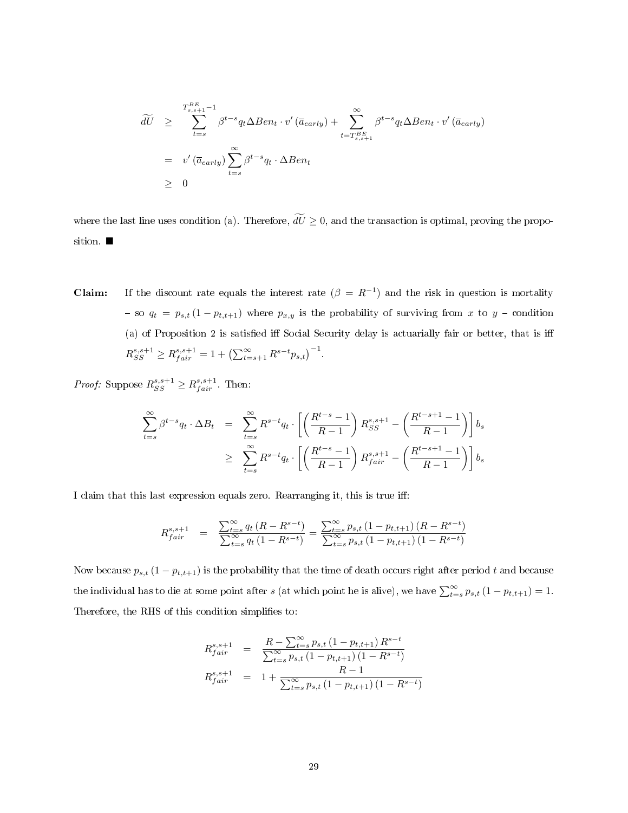$$
\widetilde{dU} \geq \sum_{t=s}^{T_{s,s+1}^{BE}-1} \beta^{t-s} q_t \Delta Ben_t \cdot v'(\overline{a}_{early}) + \sum_{t=T_{s,s+1}^{BE}}^{\infty} \beta^{t-s} q_t \Delta Ben_t \cdot v'(\overline{a}_{early})
$$
\n
$$
= v'(\overline{a}_{early}) \sum_{t=s}^{\infty} \beta^{t-s} q_t \cdot \Delta Ben_t
$$
\n
$$
\geq 0
$$

where the last line uses condition (a). Therefore,  $\widetilde{dU} \geq 0$ , and the transaction is optimal, proving the proposition.

**Claim:** If the discount rate equals the interest rate  $(\beta = R^{-1})$  and the risk in question is mortality so  $q_t = p_{s,t} (1 - p_{t,t+1})$  where  $p_{x,y}$  is the probability of surviving from x to y - condition (a) of Proposition 2 is satisfied iff Social Security delay is actuarially fair or better, that is iff  $R_{SS}^{s,s+1} \geq R_{fair}^{s,s+1} = 1 + \left(\sum_{t=s+1}^{\infty} R^{s-t} p_{s,t}\right)^{-1}.$ 

*Proof:* Suppose  $R_{SS}^{s,s+1} \geq R_{fair}^{s,s+1}$ . Then:

$$
\sum_{t=s}^{\infty} \beta^{t-s} q_t \cdot \Delta B_t = \sum_{t=s}^{\infty} R^{s-t} q_t \cdot \left[ \left( \frac{R^{t-s} - 1}{R-1} \right) R_{SS}^{s,s+1} - \left( \frac{R^{t-s+1} - 1}{R-1} \right) \right] b_s
$$
  

$$
\geq \sum_{t=s}^{\infty} R^{s-t} q_t \cdot \left[ \left( \frac{R^{t-s} - 1}{R-1} \right) R_{fair}^{s,s+1} - \left( \frac{R^{t-s+1} - 1}{R-1} \right) \right] b_s
$$

I claim that this last expression equals zero. Rearranging it, this is true iff:

$$
R_{fair}^{s, s+1} = \frac{\sum_{t=s}^{\infty} q_t (R - R^{s-t})}{\sum_{t=s}^{\infty} q_t (1 - R^{s-t})} = \frac{\sum_{t=s}^{\infty} p_{s,t} (1 - p_{t,t+1}) (R - R^{s-t})}{\sum_{t=s}^{\infty} p_{s,t} (1 - p_{t,t+1}) (1 - R^{s-t})}
$$

Now because  $p_{s,t}$  (1 –  $p_{t,t+1}$ ) is the probability that the time of death occurs right after period t and because the individual has to die at some point after s (at which point he is alive), we have  $\sum_{t=s}^{\infty} p_{s,t} (1 - p_{t,t+1}) = 1$ . Therefore, the RHS of this condition simplifies to:

$$
R_{fair}^{s,s+1} = \frac{R - \sum_{t=s}^{\infty} p_{s,t} (1 - p_{t,t+1}) R^{s-t}}{\sum_{t=s}^{\infty} p_{s,t} (1 - p_{t,t+1}) (1 - R^{s-t})}
$$
  

$$
R_{fair}^{s,s+1} = 1 + \frac{R - 1}{\sum_{t=s}^{\infty} p_{s,t} (1 - p_{t,t+1}) (1 - R^{s-t})}
$$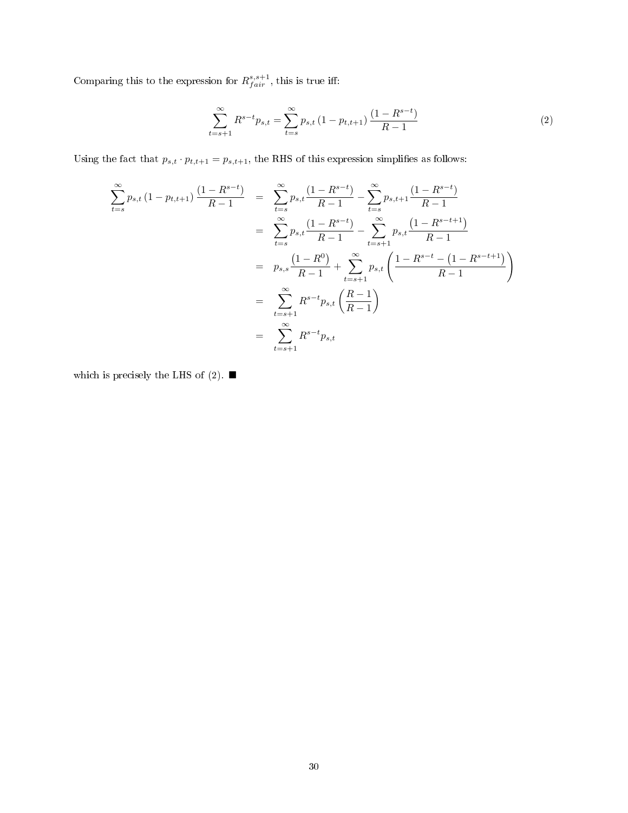Comparing this to the expression for  $R_{fair}^{s,s+1}$ , this is true iff:

$$
\sum_{t=s+1}^{\infty} R^{s-t} p_{s,t} = \sum_{t=s}^{\infty} p_{s,t} \left( 1 - p_{t,t+1} \right) \frac{\left( 1 - R^{s-t} \right)}{R - 1} \tag{2}
$$

Using the fact that  $p_{s,t} \cdot p_{t,t+1} = p_{s,t+1}$ , the RHS of this expression simplifies as follows:

$$
\sum_{t=s}^{\infty} p_{s,t} (1 - p_{t,t+1}) \frac{(1 - R^{s-t})}{R - 1} = \sum_{t=s}^{\infty} p_{s,t} \frac{(1 - R^{s-t})}{R - 1} - \sum_{t=s}^{\infty} p_{s,t+1} \frac{(1 - R^{s-t})}{R - 1}
$$

$$
= \sum_{t=s}^{\infty} p_{s,t} \frac{(1 - R^{s-t})}{R - 1} - \sum_{t=s+1}^{\infty} p_{s,t} \frac{(1 - R^{s-t+1})}{R - 1}
$$

$$
= p_{s,s} \frac{(1 - R^{0})}{R - 1} + \sum_{t=s+1}^{\infty} p_{s,t} \left( \frac{1 - R^{s-t} - (1 - R^{s-t+1})}{R - 1} \right)
$$

$$
= \sum_{t=s+1}^{\infty} R^{s-t} p_{s,t} \left( \frac{R - 1}{R - 1} \right)
$$

$$
= \sum_{t=s+1}^{\infty} R^{s-t} p_{s,t}
$$

which is precisely the LHS of (2).  $\blacksquare$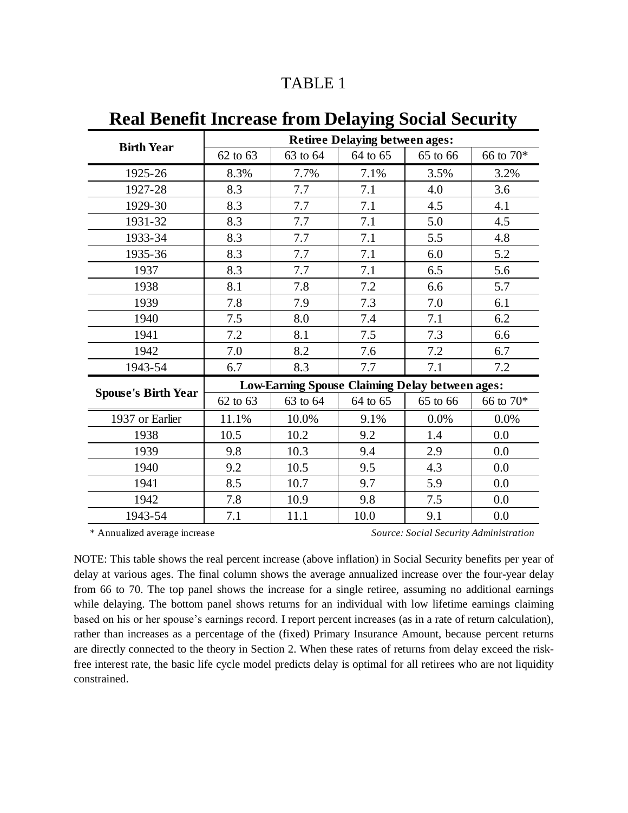| <b>Birth Year</b>          | <b>Retiree Delaying between ages:</b>                  |          |          |          |                |
|----------------------------|--------------------------------------------------------|----------|----------|----------|----------------|
|                            | 62 to 63                                               | 63 to 64 | 64 to 65 | 65 to 66 | $66$ to $70\%$ |
| 1925-26                    | 8.3%                                                   | 7.7%     | 7.1%     | 3.5%     | 3.2%           |
| 1927-28                    | 8.3                                                    | 7.7      | 7.1      | 4.0      | 3.6            |
| 1929-30                    | 8.3                                                    | 7.7      | 7.1      | 4.5      | 4.1            |
| 1931-32                    | 8.3                                                    | 7.7      | 7.1      | 5.0      | 4.5            |
| 1933-34                    | 8.3                                                    | 7.7      | 7.1      | 5.5      | 4.8            |
| 1935-36                    | 8.3                                                    | 7.7      | 7.1      | 6.0      | 5.2            |
| 1937                       | 8.3                                                    | 7.7      | 7.1      | 6.5      | 5.6            |
| 1938                       | 8.1                                                    | 7.8      | 7.2      | 6.6      | 5.7            |
| 1939                       | 7.8                                                    | 7.9      | 7.3      | 7.0      | 6.1            |
| 1940                       | 7.5                                                    | 8.0      | 7.4      | 7.1      | 6.2            |
| 1941                       | 7.2                                                    | 8.1      | 7.5      | 7.3      | 6.6            |
| 1942                       | 7.0                                                    | 8.2      | 7.6      | 7.2      | 6.7            |
| 1943-54                    | 6.7                                                    | 8.3      | 7.7      | 7.1      | 7.2            |
|                            | <b>Low-Earning Spouse Claiming Delay between ages:</b> |          |          |          |                |
| <b>Spouse's Birth Year</b> | 62 to 63                                               | 63 to 64 | 64 to 65 | 65 to 66 | 66 to 70*      |
| 1937 or Earlier            | 11.1%                                                  | 10.0%    | 9.1%     | 0.0%     | 0.0%           |
| 1938                       | 10.5                                                   | 10.2     | 9.2      | 1.4      | 0.0            |
| 1939                       | 9.8                                                    | 10.3     | 9.4      | 2.9      | 0.0            |
| 1940                       | 9.2                                                    | 10.5     | 9.5      | 4.3      | 0.0            |
| 1941                       | 8.5                                                    | 10.7     | 9.7      | 5.9      | 0.0            |
| 1942                       | 7.8                                                    | 10.9     | 9.8      | 7.5      | 0.0            |
| 1943-54                    | 7.1                                                    | 11.1     | 10.0     | 9.1      | 0.0            |

# **Real Benefit Increase from Delaying Social Security**

\* Annualized average increase *Source: Social Security Administration*

NOTE: This table shows the real percent increase (above inflation) in Social Security benefits per year of delay at various ages. The final column shows the average annualized increase over the four-year delay from 66 to 70. The top panel shows the increase for a single retiree, assuming no additional earnings while delaying. The bottom panel shows returns for an individual with low lifetime earnings claiming based on his or her spouse's earnings record. I report percent increases (as in a rate of return calculation), rather than increases as a percentage of the (fixed) Primary Insurance Amount, because percent returns are directly connected to the theory in Section 2. When these rates of returns from delay exceed the riskfree interest rate, the basic life cycle model predicts delay is optimal for all retirees who are not liquidity constrained.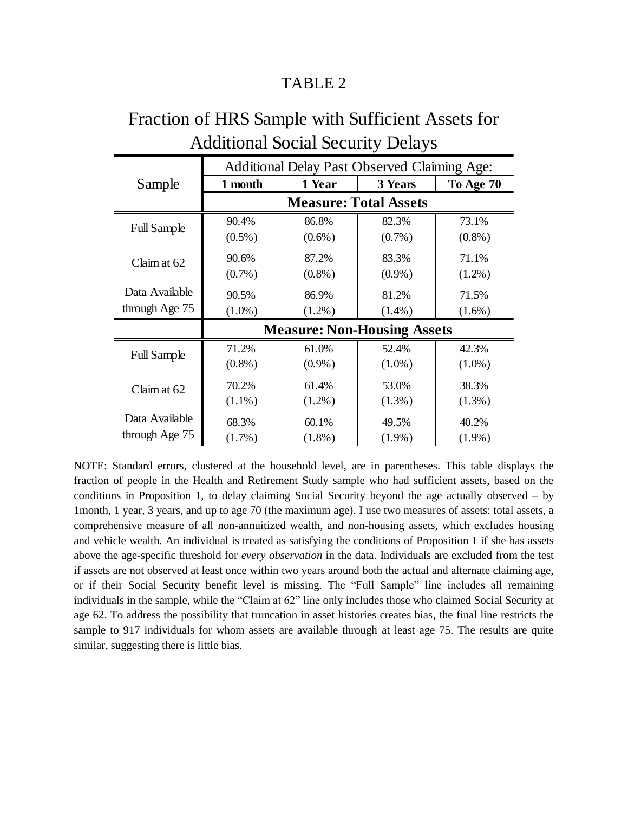| Auditional Social Security Delays |                                                     |           |           |           |  |
|-----------------------------------|-----------------------------------------------------|-----------|-----------|-----------|--|
|                                   | <b>Additional Delay Past Observed Claiming Age:</b> |           |           |           |  |
| Sample                            | 1 month                                             | 1 Year    | 3 Years   | To Age 70 |  |
|                                   | <b>Measure: Total Assets</b>                        |           |           |           |  |
| <b>Full Sample</b>                | 90.4%                                               | 86.8%     | 82.3%     | 73.1%     |  |
|                                   | $(0.5\%)$                                           | $(0.6\%)$ | $(0.7\%)$ | $(0.8\%)$ |  |
| Claim at 62                       | 90.6%                                               | 87.2%     | 83.3%     | 71.1%     |  |
|                                   | $(0.7\%)$                                           | $(0.8\%)$ | $(0.9\%)$ | $(1.2\%)$ |  |
| Data Available                    | 90.5%                                               | 86.9%     | 81.2%     | 71.5%     |  |
| through Age 75                    | $(1.0\%)$                                           | $(1.2\%)$ | $(1.4\%)$ | $(1.6\%)$ |  |
|                                   | <b>Measure: Non-Housing Assets</b>                  |           |           |           |  |
| <b>Full Sample</b>                | 71.2%                                               | 61.0%     | 52.4%     | 42.3%     |  |
|                                   | $(0.8\%)$                                           | $(0.9\%)$ | $(1.0\%)$ | $(1.0\%)$ |  |
| Claim at 62                       | 70.2%                                               | 61.4%     | 53.0%     | 38.3%     |  |
|                                   | $(1.1\%)$                                           | $(1.2\%)$ | $(1.3\%)$ | $(1.3\%)$ |  |
| Data Available                    | 68.3%                                               | 60.1%     | 49.5%     | 40.2%     |  |
| through Age 75                    | $(1.7\%)$                                           | $(1.8\%)$ | $(1.9\%)$ | $(1.9\%)$ |  |

# Fraction of HRS Sample with Sufficient Assets for Additional Social Security Delays

NOTE: Standard errors, clustered at the household level, are in parentheses. This table displays the fraction of people in the Health and Retirement Study sample who had sufficient assets, based on the conditions in Proposition 1, to delay claiming Social Security beyond the age actually observed – by 1month, 1 year, 3 years, and up to age 70 (the maximum age). I use two measures of assets: total assets, a comprehensive measure of all non-annuitized wealth, and non-housing assets, which excludes housing and vehicle wealth. An individual is treated as satisfying the conditions of Proposition 1 if she has assets above the age-specific threshold for *every observation* in the data. Individuals are excluded from the test if assets are not observed at least once within two years around both the actual and alternate claiming age, or if their Social Security benefit level is missing. The "Full Sample" line includes all remaining individuals in the sample, while the "Claim at 62" line only includes those who claimed Social Security at age 62. To address the possibility that truncation in asset histories creates bias, the final line restricts the sample to 917 individuals for whom assets are available through at least age 75. The results are quite similar, suggesting there is little bias.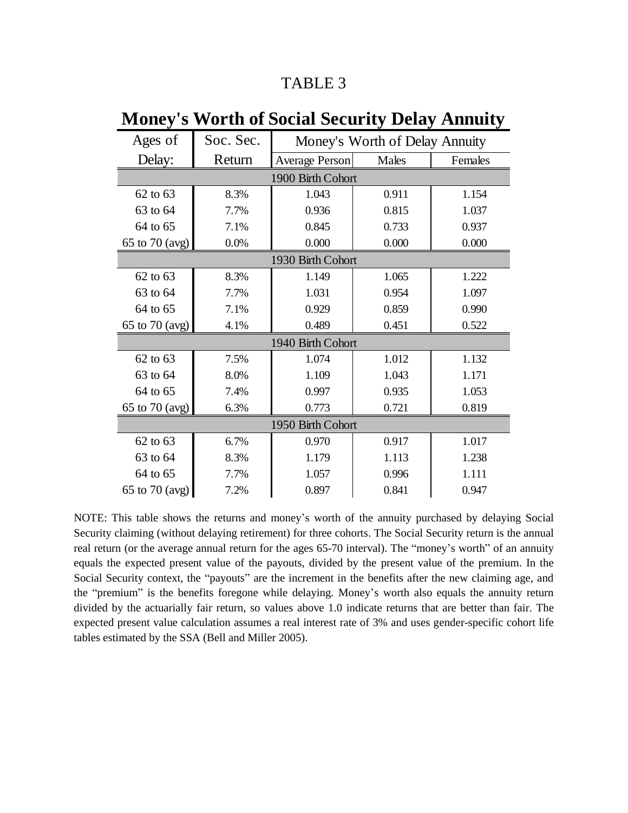| Ages of           | Soc. Sec. | Money's Worth of Delay Annuity |       |         |  |
|-------------------|-----------|--------------------------------|-------|---------|--|
| Delay:            | Return    | <b>Average Person</b>          | Males | Females |  |
|                   |           | 1900 Birth Cohort              |       |         |  |
| 62 to 63          | 8.3%      | 1.043                          | 0.911 | 1.154   |  |
| 63 to 64          | 7.7%      | 0.936                          | 0.815 | 1.037   |  |
| 64 to 65          | 7.1%      | 0.845                          | 0.733 | 0.937   |  |
| 65 to 70 (avg)    | 0.0%      | 0.000                          | 0.000 | 0.000   |  |
|                   |           | 1930 Birth Cohort              |       |         |  |
| 62 to 63          | 8.3%      | 1.149                          | 1.065 | 1.222   |  |
| 63 to 64          | 7.7%      | 1.031                          | 0.954 | 1.097   |  |
| 64 to 65          | 7.1%      | 0.929                          | 0.859 | 0.990   |  |
| 65 to 70 (avg)    | 4.1%      | 0.489                          | 0.451 | 0.522   |  |
| 1940 Birth Cohort |           |                                |       |         |  |
| 62 to 63          | 7.5%      | 1.074                          | 1.012 | 1.132   |  |
| 63 to 64          | 8.0%      | 1.109                          | 1.043 | 1.171   |  |
| 64 to 65          | 7.4%      | 0.997                          | 0.935 | 1.053   |  |
| 65 to 70 (avg)    | 6.3%      | 0.773                          | 0.721 | 0.819   |  |
| 1950 Birth Cohort |           |                                |       |         |  |
| 62 to 63          | 6.7%      | 0.970                          | 0.917 | 1.017   |  |
| 63 to 64          | 8.3%      | 1.179                          | 1.113 | 1.238   |  |
| 64 to 65          | 7.7%      | 1.057                          | 0.996 | 1.111   |  |
| 65 to 70 (avg)    | 7.2%      | 0.897                          | 0.841 | 0.947   |  |

# **Money's Worth of Social Security Delay Annuity**

NOTE: This table shows the returns and money's worth of the annuity purchased by delaying Social Security claiming (without delaying retirement) for three cohorts. The Social Security return is the annual real return (or the average annual return for the ages 65-70 interval). The "money's worth" of an annuity equals the expected present value of the payouts, divided by the present value of the premium. In the Social Security context, the "payouts" are the increment in the benefits after the new claiming age, and the "premium" is the benefits foregone while delaying. Money's worth also equals the annuity return divided by the actuarially fair return, so values above 1.0 indicate returns that are better than fair. The expected present value calculation assumes a real interest rate of 3% and uses gender-specific cohort life tables estimated by the SSA (Bell and Miller 2005).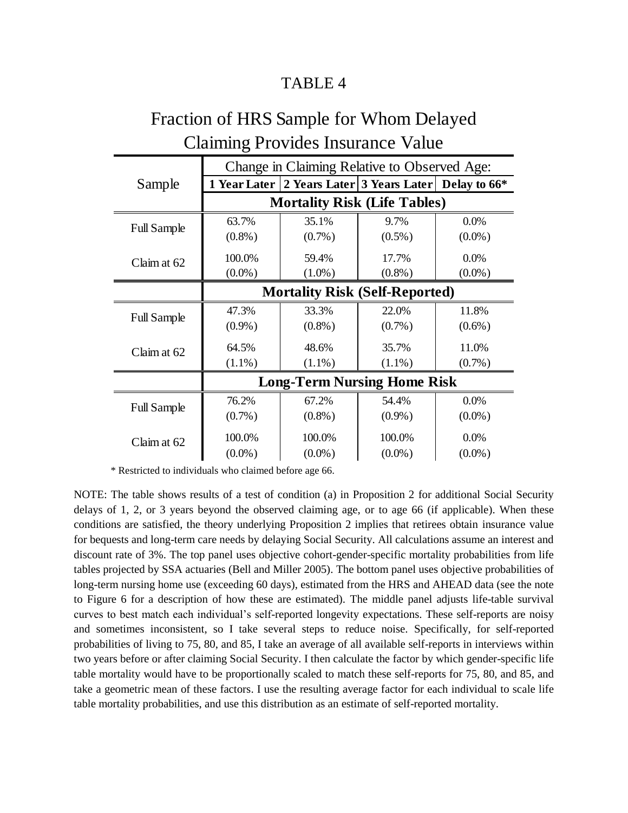| <b>Claiming Provides Insurance Value</b> |                                              |                                                             |           |           |  |
|------------------------------------------|----------------------------------------------|-------------------------------------------------------------|-----------|-----------|--|
|                                          | Change in Claiming Relative to Observed Age: |                                                             |           |           |  |
| Sample                                   |                                              | 1 Year Later   2 Years Later   3 Years Later   Delay to 66* |           |           |  |
|                                          | <b>Mortality Risk (Life Tables)</b>          |                                                             |           |           |  |
| <b>Full Sample</b>                       | 63.7%                                        | 35.1%                                                       | 9.7%      | $0.0\%$   |  |
|                                          | $(0.8\%)$                                    | $(0.7\%)$                                                   | $(0.5\%)$ | $(0.0\%)$ |  |
| Claim at 62                              | 100.0%                                       | 59.4%                                                       | 17.7%     | 0.0%      |  |
|                                          | $(0.0\%)$                                    | $(1.0\%)$                                                   | $(0.8\%)$ | $(0.0\%)$ |  |
|                                          | <b>Mortality Risk (Self-Reported)</b>        |                                                             |           |           |  |
| <b>Full Sample</b>                       | 47.3%                                        | 33.3%                                                       | 22.0%     | 11.8%     |  |
|                                          | $(0.9\%)$                                    | $(0.8\%)$                                                   | $(0.7\%)$ | $(0.6\%)$ |  |
| Claim at 62                              | 64.5%                                        | 48.6%                                                       | 35.7%     | 11.0%     |  |
|                                          | $(1.1\%)$                                    | $(1.1\%)$                                                   | $(1.1\%)$ | $(0.7\%)$ |  |
|                                          | <b>Long-Term Nursing Home Risk</b>           |                                                             |           |           |  |
| <b>Full Sample</b>                       | 76.2%                                        | 67.2%                                                       | 54.4%     | $0.0\%$   |  |
|                                          | $(0.7\%)$                                    | $(0.8\%)$                                                   | $(0.9\%)$ | $(0.0\%)$ |  |
| Claim at 62                              | 100.0%                                       | 100.0%                                                      | 100.0%    | $0.0\%$   |  |
|                                          | $(0.0\%)$                                    | $(0.0\%)$                                                   | $(0.0\%)$ | $(0.0\%)$ |  |

# Fraction of HRS Sample for Whom Delayed

\* Restricted to individuals who claimed before age 66.

NOTE: The table shows results of a test of condition (a) in Proposition 2 for additional Social Security delays of 1, 2, or 3 years beyond the observed claiming age, or to age 66 (if applicable). When these conditions are satisfied, the theory underlying Proposition 2 implies that retirees obtain insurance value for bequests and long-term care needs by delaying Social Security. All calculations assume an interest and discount rate of 3%. The top panel uses objective cohort-gender-specific mortality probabilities from life tables projected by SSA actuaries (Bell and Miller 2005). The bottom panel uses objective probabilities of long-term nursing home use (exceeding 60 days), estimated from the HRS and AHEAD data (see the note to Figure 6 for a description of how these are estimated). The middle panel adjusts life-table survival curves to best match each individual's self-reported longevity expectations. These self-reports are noisy and sometimes inconsistent, so I take several steps to reduce noise. Specifically, for self-reported probabilities of living to 75, 80, and 85, I take an average of all available self-reports in interviews within two years before or after claiming Social Security. I then calculate the factor by which gender-specific life table mortality would have to be proportionally scaled to match these self-reports for 75, 80, and 85, and take a geometric mean of these factors. I use the resulting average factor for each individual to scale life table mortality probabilities, and use this distribution as an estimate of self-reported mortality.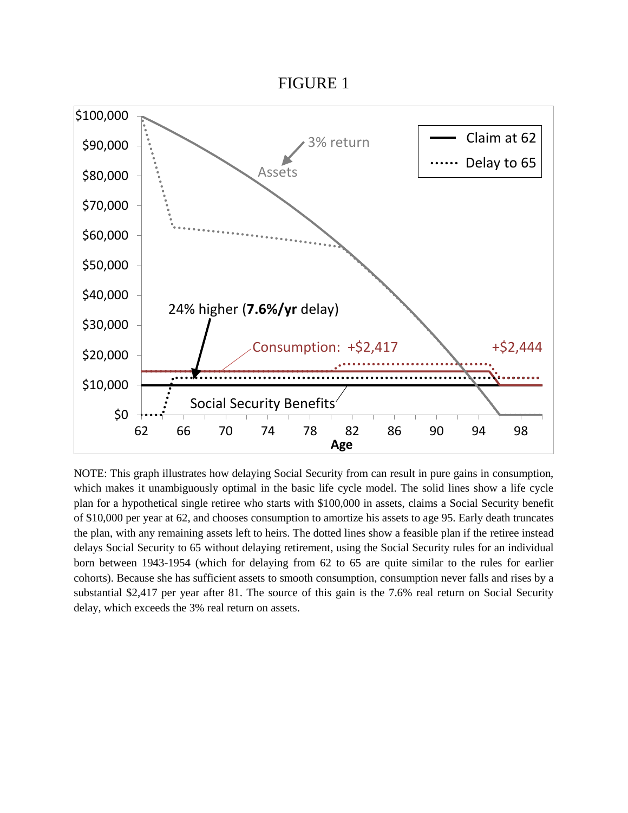FIGURE 1



NOTE: This graph illustrates how delaying Social Security from can result in pure gains in consumption, which makes it unambiguously optimal in the basic life cycle model. The solid lines show a life cycle plan for a hypothetical single retiree who starts with \$100,000 in assets, claims a Social Security benefit of \$10,000 per year at 62, and chooses consumption to amortize his assets to age 95. Early death truncates the plan, with any remaining assets left to heirs. The dotted lines show a feasible plan if the retiree instead delays Social Security to 65 without delaying retirement, using the Social Security rules for an individual born between 1943-1954 (which for delaying from 62 to 65 are quite similar to the rules for earlier cohorts). Because she has sufficient assets to smooth consumption, consumption never falls and rises by a substantial \$2,417 per year after 81. The source of this gain is the 7.6% real return on Social Security delay, which exceeds the 3% real return on assets.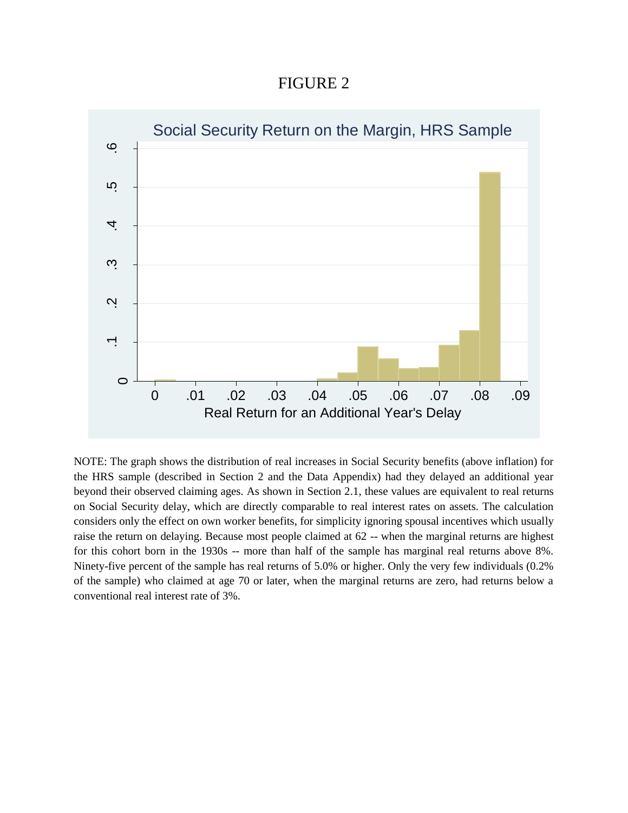FIGURE 2



NOTE: The graph shows the distribution of real increases in Social Security benefits (above inflation) for the HRS sample (described in Section 2 and the Data Appendix) had they delayed an additional year beyond their observed claiming ages. As shown in Section 2.1, these values are equivalent to real returns on Social Security delay, which are directly comparable to real interest rates on assets. The calculation considers only the effect on own worker benefits, for simplicity ignoring spousal incentives which usually raise the return on delaying. Because most people claimed at 62 -- when the marginal returns are highest for this cohort born in the 1930s -- more than half of the sample has marginal real returns above 8%. Ninety-five percent of the sample has real returns of 5.0% or higher. Only the very few individuals (0.2% of the sample) who claimed at age 70 or later, when the marginal returns are zero, had returns below a conventional real interest rate of 3%.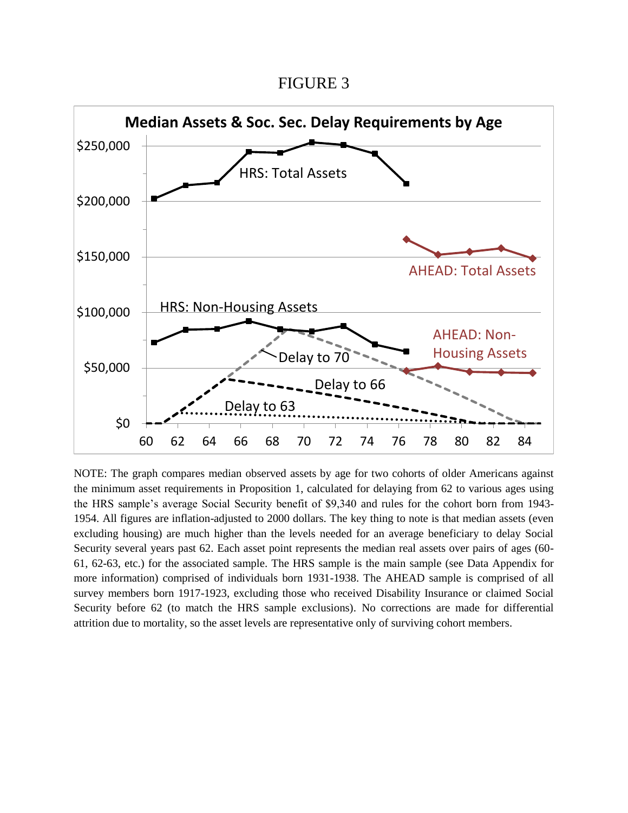FIGURE 3



NOTE: The graph compares median observed assets by age for two cohorts of older Americans against the minimum asset requirements in Proposition 1, calculated for delaying from 62 to various ages using the HRS sample's average Social Security benefit of \$9,340 and rules for the cohort born from 1943- 1954. All figures are inflation-adjusted to 2000 dollars. The key thing to note is that median assets (even excluding housing) are much higher than the levels needed for an average beneficiary to delay Social Security several years past 62. Each asset point represents the median real assets over pairs of ages (60- 61, 62-63, etc.) for the associated sample. The HRS sample is the main sample (see Data Appendix for more information) comprised of individuals born 1931-1938. The AHEAD sample is comprised of all survey members born 1917-1923, excluding those who received Disability Insurance or claimed Social Security before 62 (to match the HRS sample exclusions). No corrections are made for differential attrition due to mortality, so the asset levels are representative only of surviving cohort members.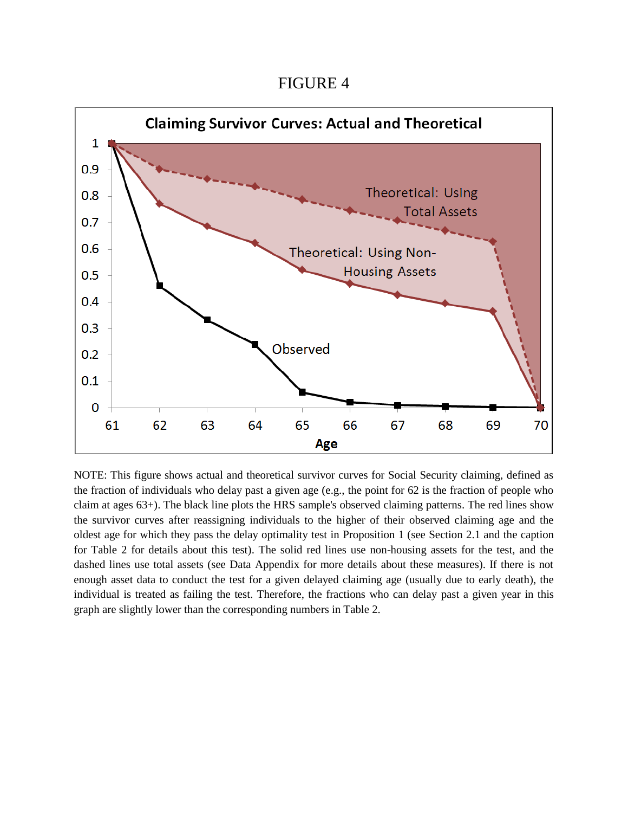FIGURE 4



NOTE: This figure shows actual and theoretical survivor curves for Social Security claiming, defined as the fraction of individuals who delay past a given age (e.g., the point for 62 is the fraction of people who claim at ages 63+). The black line plots the HRS sample's observed claiming patterns. The red lines show the survivor curves after reassigning individuals to the higher of their observed claiming age and the oldest age for which they pass the delay optimality test in Proposition 1 (see Section 2.1 and the caption for Table 2 for details about this test). The solid red lines use non-housing assets for the test, and the dashed lines use total assets (see Data Appendix for more details about these measures). If there is not enough asset data to conduct the test for a given delayed claiming age (usually due to early death), the individual is treated as failing the test. Therefore, the fractions who can delay past a given year in this graph are slightly lower than the corresponding numbers in Table 2.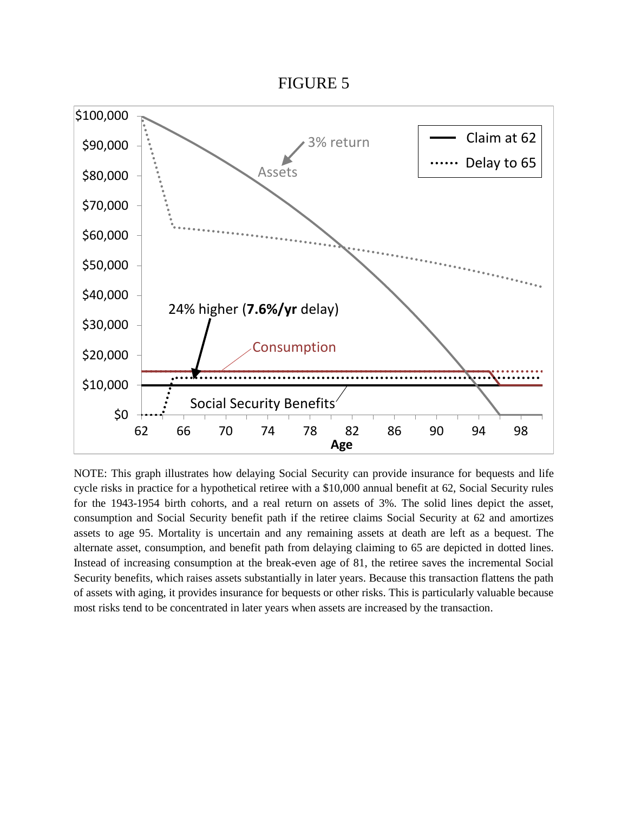

NOTE: This graph illustrates how delaying Social Security can provide insurance for bequests and life cycle risks in practice for a hypothetical retiree with a \$10,000 annual benefit at 62, Social Security rules for the 1943-1954 birth cohorts, and a real return on assets of 3%. The solid lines depict the asset, consumption and Social Security benefit path if the retiree claims Social Security at 62 and amortizes assets to age 95. Mortality is uncertain and any remaining assets at death are left as a bequest. The alternate asset, consumption, and benefit path from delaying claiming to 65 are depicted in dotted lines. Instead of increasing consumption at the break-even age of 81, the retiree saves the incremental Social Security benefits, which raises assets substantially in later years. Because this transaction flattens the path of assets with aging, it provides insurance for bequests or other risks. This is particularly valuable because most risks tend to be concentrated in later years when assets are increased by the transaction.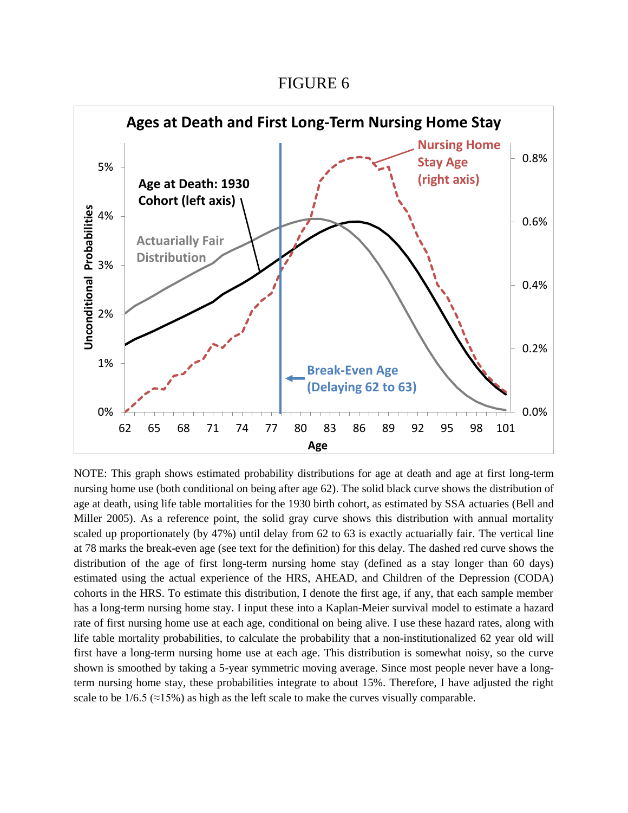FIGURE 6



NOTE: This graph shows estimated probability distributions for age at death and age at first long-term nursing home use (both conditional on being after age 62). The solid black curve shows the distribution of age at death, using life table mortalities for the 1930 birth cohort, as estimated by SSA actuaries (Bell and Miller 2005). As a reference point, the solid gray curve shows this distribution with annual mortality scaled up proportionately (by 47%) until delay from 62 to 63 is exactly actuarially fair. The vertical line at 78 marks the break-even age (see text for the definition) for this delay. The dashed red curve shows the distribution of the age of first long-term nursing home stay (defined as a stay longer than 60 days) estimated using the actual experience of the HRS, AHEAD, and Children of the Depression (CODA) cohorts in the HRS. To estimate this distribution, I denote the first age, if any, that each sample member has a long-term nursing home stay. I input these into a Kaplan-Meier survival model to estimate a hazard rate of first nursing home use at each age, conditional on being alive. I use these hazard rates, along with life table mortality probabilities, to calculate the probability that a non-institutionalized 62 year old will first have a long-term nursing home use at each age. This distribution is somewhat noisy, so the curve shown is smoothed by taking a 5-year symmetric moving average. Since most people never have a longterm nursing home stay, these probabilities integrate to about 15%. Therefore, I have adjusted the right scale to be  $1/6.5 \approx 15\%$ ) as high as the left scale to make the curves visually comparable.